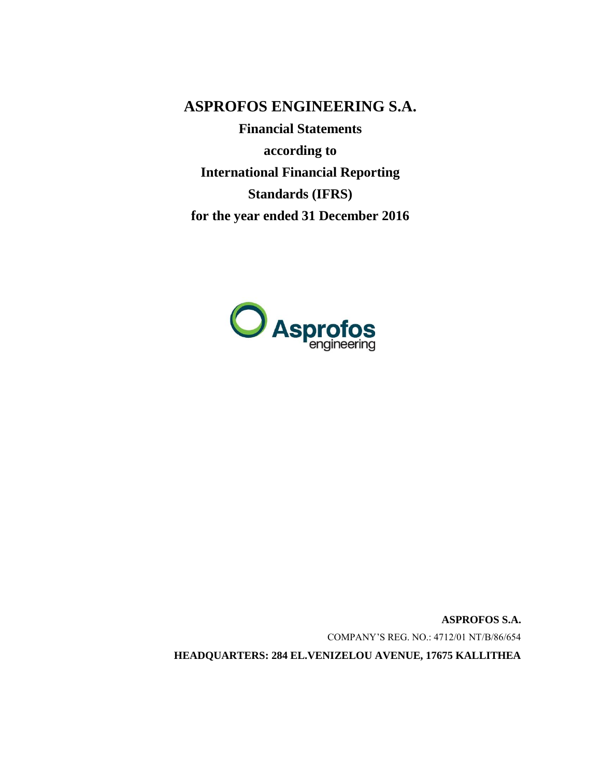**ASPROFOS ENGINEERING S.A.**

**Financial Statements according to International Financial Reporting Standards (IFRS) for the year ended 31 December 2016**



**ASPROFOS S.A.** COMPANY'S REG. NO.: 4712/01 ΝΤ/Β/86/654 **HEADQUARTERS: 284 EL.VENIZELOU AVENUE, 17675 KALLITHEA**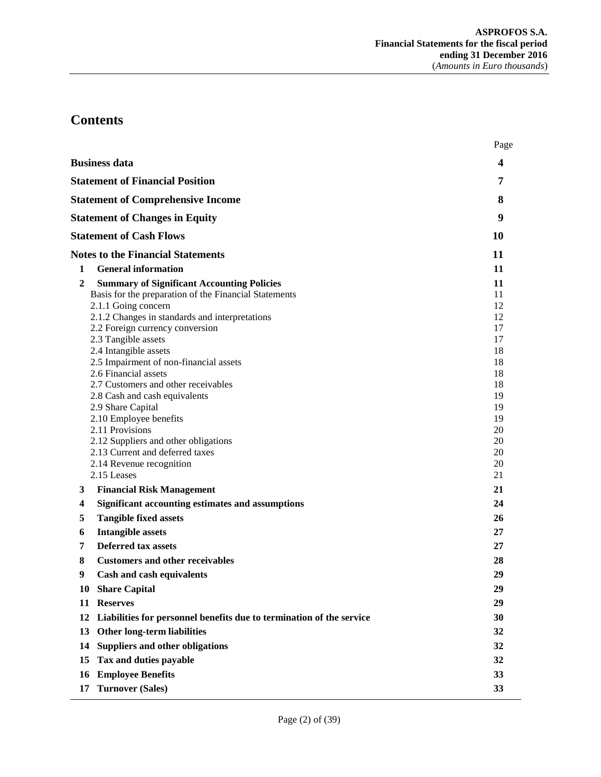# **Contents**

|                                                                                                                                                                                                                                                                                                                                                                                                                                                                                                                                                                                                                            | Page                                                                                                     |
|----------------------------------------------------------------------------------------------------------------------------------------------------------------------------------------------------------------------------------------------------------------------------------------------------------------------------------------------------------------------------------------------------------------------------------------------------------------------------------------------------------------------------------------------------------------------------------------------------------------------------|----------------------------------------------------------------------------------------------------------|
| <b>Business data</b>                                                                                                                                                                                                                                                                                                                                                                                                                                                                                                                                                                                                       | 4                                                                                                        |
| <b>Statement of Financial Position</b>                                                                                                                                                                                                                                                                                                                                                                                                                                                                                                                                                                                     | 7                                                                                                        |
| <b>Statement of Comprehensive Income</b>                                                                                                                                                                                                                                                                                                                                                                                                                                                                                                                                                                                   | 8                                                                                                        |
| <b>Statement of Changes in Equity</b>                                                                                                                                                                                                                                                                                                                                                                                                                                                                                                                                                                                      | 9                                                                                                        |
| <b>Statement of Cash Flows</b>                                                                                                                                                                                                                                                                                                                                                                                                                                                                                                                                                                                             | 10                                                                                                       |
| <b>Notes to the Financial Statements</b>                                                                                                                                                                                                                                                                                                                                                                                                                                                                                                                                                                                   | 11                                                                                                       |
| <b>General information</b><br>1                                                                                                                                                                                                                                                                                                                                                                                                                                                                                                                                                                                            | 11                                                                                                       |
| $\overline{2}$<br><b>Summary of Significant Accounting Policies</b><br>Basis for the preparation of the Financial Statements<br>2.1.1 Going concern<br>2.1.2 Changes in standards and interpretations<br>2.2 Foreign currency conversion<br>2.3 Tangible assets<br>2.4 Intangible assets<br>2.5 Impairment of non-financial assets<br>2.6 Financial assets<br>2.7 Customers and other receivables<br>2.8 Cash and cash equivalents<br>2.9 Share Capital<br>2.10 Employee benefits<br>2.11 Provisions<br>2.12 Suppliers and other obligations<br>2.13 Current and deferred taxes<br>2.14 Revenue recognition<br>2.15 Leases | 11<br>11<br>12<br>12<br>17<br>17<br>18<br>18<br>18<br>18<br>19<br>19<br>19<br>20<br>20<br>20<br>20<br>21 |
| <b>Financial Risk Management</b><br>3                                                                                                                                                                                                                                                                                                                                                                                                                                                                                                                                                                                      | 21                                                                                                       |
| 4<br><b>Significant accounting estimates and assumptions</b>                                                                                                                                                                                                                                                                                                                                                                                                                                                                                                                                                               | 24                                                                                                       |
| <b>Tangible fixed assets</b><br>5<br><b>Intangible assets</b><br>6                                                                                                                                                                                                                                                                                                                                                                                                                                                                                                                                                         | 26<br>27                                                                                                 |
| <b>Deferred tax assets</b><br>7                                                                                                                                                                                                                                                                                                                                                                                                                                                                                                                                                                                            | 27                                                                                                       |
| 8<br><b>Customers and other receivables</b>                                                                                                                                                                                                                                                                                                                                                                                                                                                                                                                                                                                | 28                                                                                                       |
| 9<br><b>Cash and cash equivalents</b>                                                                                                                                                                                                                                                                                                                                                                                                                                                                                                                                                                                      | 29                                                                                                       |
| <b>Share Capital</b><br>10                                                                                                                                                                                                                                                                                                                                                                                                                                                                                                                                                                                                 | 29                                                                                                       |
| 11<br><b>Reserves</b>                                                                                                                                                                                                                                                                                                                                                                                                                                                                                                                                                                                                      | 29                                                                                                       |
| Liabilities for personnel benefits due to termination of the service<br>12                                                                                                                                                                                                                                                                                                                                                                                                                                                                                                                                                 | 30                                                                                                       |
| <b>Other long-term liabilities</b><br>13                                                                                                                                                                                                                                                                                                                                                                                                                                                                                                                                                                                   | 32                                                                                                       |
| <b>Suppliers and other obligations</b><br>14                                                                                                                                                                                                                                                                                                                                                                                                                                                                                                                                                                               | 32                                                                                                       |
| Tax and duties payable<br>15                                                                                                                                                                                                                                                                                                                                                                                                                                                                                                                                                                                               | 32                                                                                                       |
| <b>Employee Benefits</b><br>16                                                                                                                                                                                                                                                                                                                                                                                                                                                                                                                                                                                             | 33                                                                                                       |
| <b>Turnover (Sales)</b><br>17                                                                                                                                                                                                                                                                                                                                                                                                                                                                                                                                                                                              | 33                                                                                                       |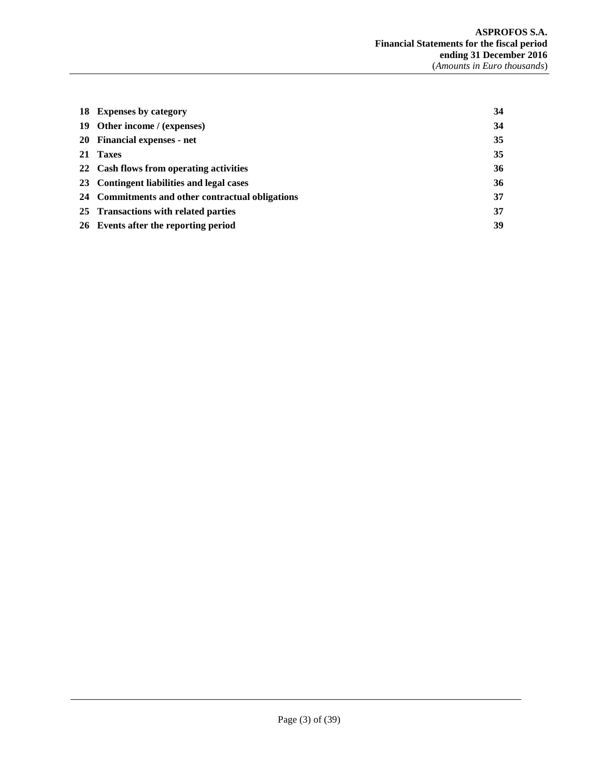| 18 Expenses by category                          | 34 |
|--------------------------------------------------|----|
| 19 Other income / (expenses)                     | 34 |
| 20 Financial expenses - net                      | 35 |
| 21 Taxes                                         | 35 |
| 22 Cash flows from operating activities          | 36 |
| 23 Contingent liabilities and legal cases        | 36 |
| 24 Commitments and other contractual obligations | 37 |
| 25 Transactions with related parties             | 37 |
| 26 Events after the reporting period             | 39 |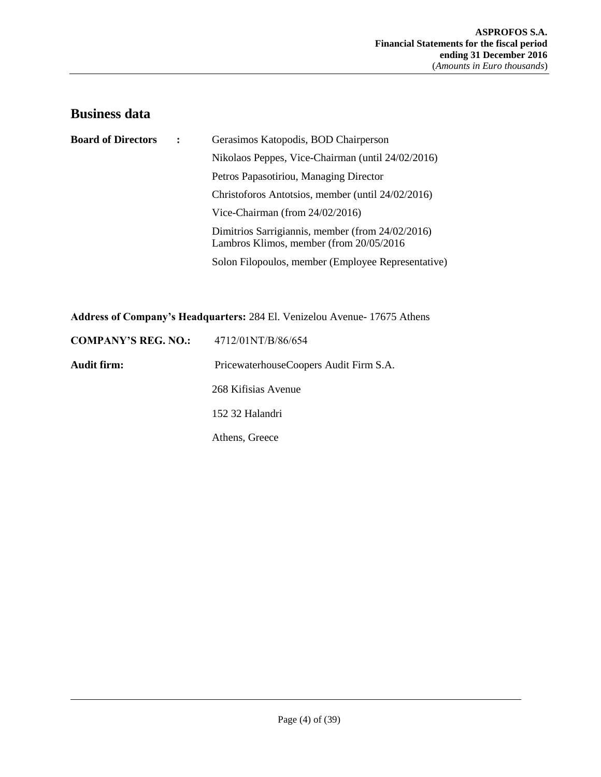# <span id="page-3-0"></span>**Business data**

| <b>Board of Directors</b> | Gerasimos Katopodis, BOD Chairperson                                                         |
|---------------------------|----------------------------------------------------------------------------------------------|
|                           | Nikolaos Peppes, Vice-Chairman (until 24/02/2016)                                            |
|                           | Petros Papasotiriou, Managing Director                                                       |
|                           | Christoforos Antotsios, member (until 24/02/2016)                                            |
|                           | Vice-Chairman (from $24/02/2016$ )                                                           |
|                           | Dimitrios Sarrigiannis, member (from 24/02/2016)<br>Lambros Klimos, member (from 20/05/2016) |
|                           | Solon Filopoulos, member (Employee Representative)                                           |

**Address of Company's Headquarters:** 284 El. Venizelou Avenue- 17675 Athens

| <b>COMPANY'S REG. NO.:</b> | 4712/01NT/B/86/654                     |
|----------------------------|----------------------------------------|
| Audit firm:                | PricewaterhouseCoopers Audit Firm S.A. |
|                            | 268 Kifisias Avenue                    |
|                            | 152 32 Halandri                        |
|                            | Athens, Greece                         |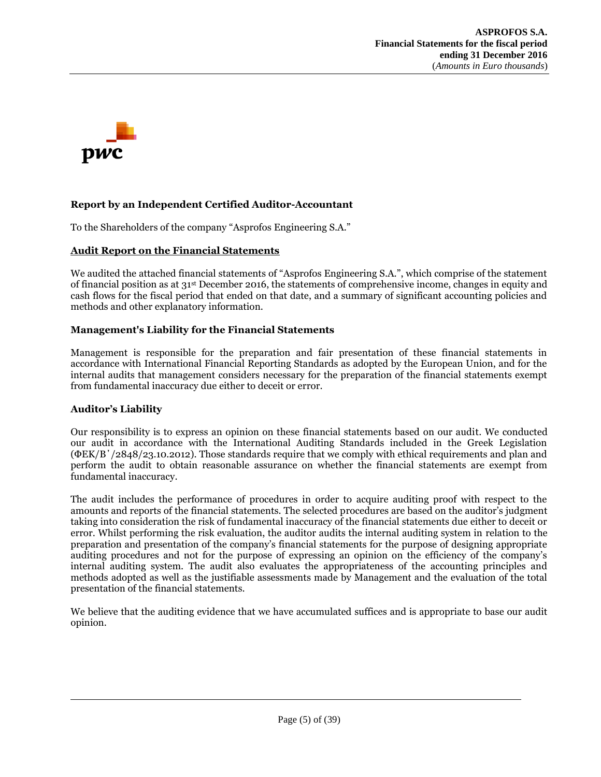

# **Report by an Independent Certified Auditor-Accountant**

To the Shareholders of the company "Asprofos Engineering S.A."

#### **Audit Report on the Financial Statements**

We audited the attached financial statements of "Asprofos Engineering S.A.", which comprise of the statement of financial position as at 31st December 2016, the statements of comprehensive income, changes in equity and cash flows for the fiscal period that ended on that date, and a summary of significant accounting policies and methods and other explanatory information.

#### **Management's Liability for the Financial Statements**

Management is responsible for the preparation and fair presentation of these financial statements in accordance with International Financial Reporting Standards as adopted by the European Union, and for the internal audits that management considers necessary for the preparation of the financial statements exempt from fundamental inaccuracy due either to deceit or error.

## **Auditor's Liability**

Our responsibility is to express an opinion on these financial statements based on our audit. We conducted our audit in accordance with the International Auditing Standards included in the Greek Legislation (ΦΕΚ/Β΄/2848/23.10.2012). Those standards require that we comply with ethical requirements and plan and perform the audit to obtain reasonable assurance on whether the financial statements are exempt from fundamental inaccuracy.

The audit includes the performance of procedures in order to acquire auditing proof with respect to the amounts and reports of the financial statements. The selected procedures are based on the auditor's judgment taking into consideration the risk of fundamental inaccuracy of the financial statements due either to deceit or error. Whilst performing the risk evaluation, the auditor audits the internal auditing system in relation to the preparation and presentation of the company's financial statements for the purpose of designing appropriate auditing procedures and not for the purpose of expressing an opinion on the efficiency of the company's internal auditing system. The audit also evaluates the appropriateness of the accounting principles and methods adopted as well as the justifiable assessments made by Management and the evaluation of the total presentation of the financial statements.

We believe that the auditing evidence that we have accumulated suffices and is appropriate to base our audit opinion.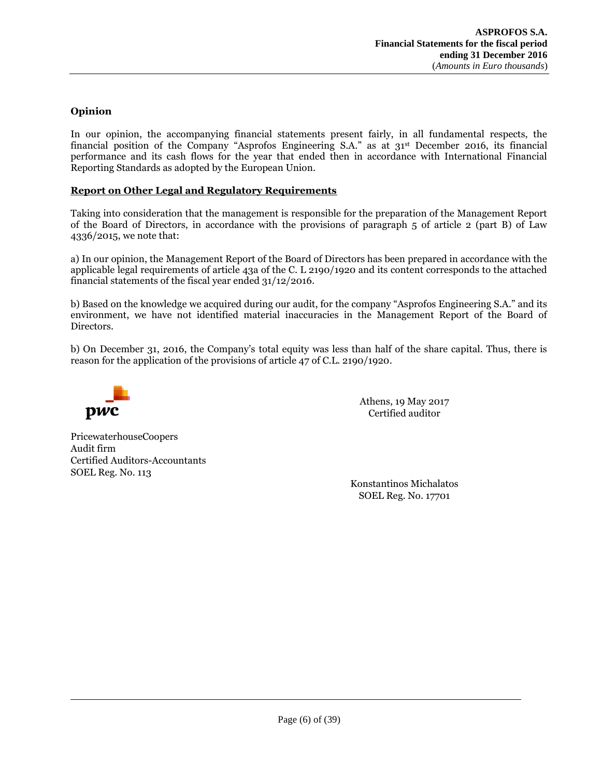# **Opinion**

In our opinion, the accompanying financial statements present fairly, in all fundamental respects, the financial position of the Company "Asprofos Engineering S.A." as at 31<sup>st</sup> December 2016, its financial performance and its cash flows for the year that ended then in accordance with International Financial Reporting Standards as adopted by the European Union.

## **Report on Other Legal and Regulatory Requirements**

Taking into consideration that the management is responsible for the preparation of the Management Report of the Board of Directors, in accordance with the provisions of paragraph 5 of article 2 (part B) of Law 4336/2015, we note that:

a) In our opinion, the Management Report of the Board of Directors has been prepared in accordance with the applicable legal requirements of article 43a of the C. L 2190/1920 and its content corresponds to the attached financial statements of the fiscal year ended 31/12/2016.

b) Based on the knowledge we acquired during our audit, for the company "Asprofos Engineering S.A." and its environment, we have not identified material inaccuracies in the Management Report of the Board of Directors.

b) On December 31, 2016, the Company's total equity was less than half of the share capital. Thus, there is reason for the application of the provisions of article 47 of C.L. 2190/1920.



Athens, 19 May 2017 Certified auditor

PricewaterhouseCoopers Audit firm Certified Auditors-Accountants SOEL Reg. No. 113

> Konstantinos Michalatos SOEL Reg. No. 17701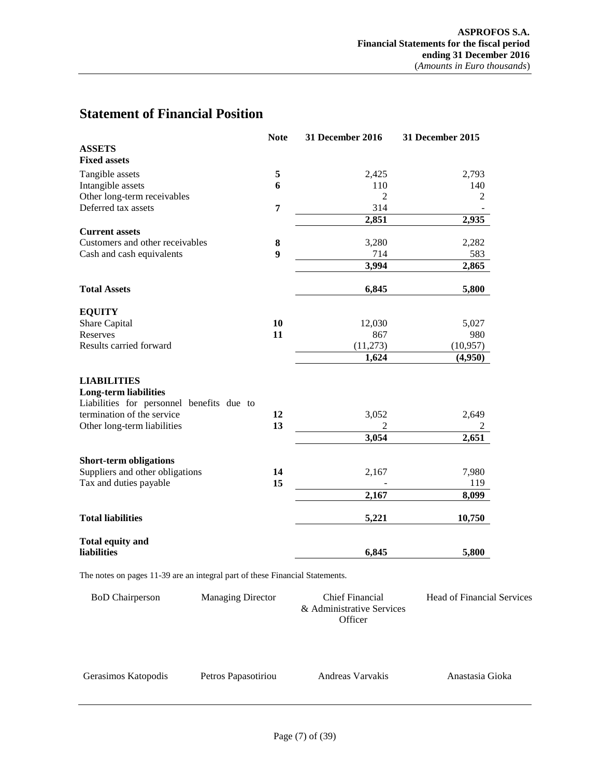# <span id="page-6-0"></span>**Statement of Financial Position**

|                                                                                                 | <b>Note</b> | 31 December 2016 | 31 December 2015 |
|-------------------------------------------------------------------------------------------------|-------------|------------------|------------------|
| <b>ASSETS</b>                                                                                   |             |                  |                  |
| <b>Fixed assets</b>                                                                             |             |                  |                  |
| Tangible assets                                                                                 | 5           | 2,425            | 2,793            |
| Intangible assets                                                                               | 6           | 110              | 140              |
| Other long-term receivables                                                                     |             | $\overline{2}$   | 2                |
| Deferred tax assets                                                                             | 7           | 314              |                  |
|                                                                                                 |             | 2,851            | 2,935            |
| <b>Current assets</b>                                                                           |             |                  |                  |
| Customers and other receivables                                                                 | 8           | 3,280            | 2,282            |
| Cash and cash equivalents                                                                       | 9           | 714              | 583              |
|                                                                                                 |             | 3,994            | 2,865            |
| <b>Total Assets</b>                                                                             |             | 6,845            | 5,800            |
| <b>EQUITY</b>                                                                                   |             |                  |                  |
| Share Capital                                                                                   | 10          | 12,030           | 5,027            |
| Reserves                                                                                        | 11          | 867              | 980              |
| Results carried forward                                                                         |             | (11,273)         | (10, 957)        |
|                                                                                                 |             | 1,624            | (4,950)          |
| <b>LIABILITIES</b><br><b>Long-term liabilities</b><br>Liabilities for personnel benefits due to |             |                  |                  |
| termination of the service                                                                      | 12          | 3,052            | 2,649            |
| Other long-term liabilities                                                                     | 13          | $\overline{2}$   | 2                |
|                                                                                                 |             | 3,054            | 2,651            |
| <b>Short-term obligations</b>                                                                   |             |                  |                  |
| Suppliers and other obligations                                                                 | 14          | 2,167            | 7,980            |
| Tax and duties payable                                                                          | 15          |                  | 119              |
|                                                                                                 |             | 2,167            | 8,099            |
| <b>Total liabilities</b>                                                                        |             | 5,221            | 10,750           |
| <b>Total equity and</b><br><b>liabilities</b>                                                   |             | 6,845            | 5,800            |
| The notes on pages 11-39 are an integral part of these Financial Statements.                    |             |                  |                  |

BoD Chairperson Managing Director Chief Financial & Administrative Services **Officer** Head of Financial Services

Petros Papasotiriou Andreas Varvakis Anastasia Gioka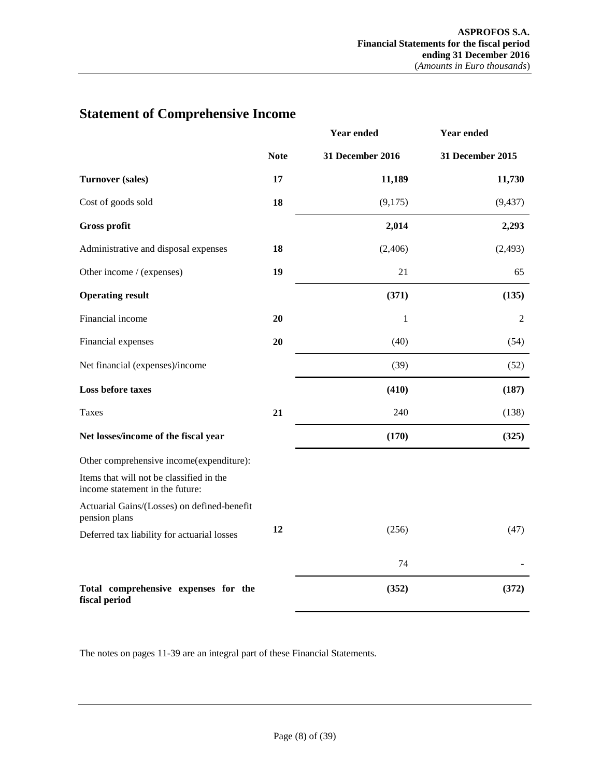|                                                                             |             | <b>Year ended</b>       | <b>Year ended</b>       |
|-----------------------------------------------------------------------------|-------------|-------------------------|-------------------------|
|                                                                             | <b>Note</b> | <b>31 December 2016</b> | <b>31 December 2015</b> |
| <b>Turnover (sales)</b>                                                     | 17          | 11,189                  | 11,730                  |
| Cost of goods sold                                                          | 18          | (9,175)                 | (9, 437)                |
| <b>Gross profit</b>                                                         |             | 2,014                   | 2,293                   |
| Administrative and disposal expenses                                        | 18          | (2,406)                 | (2, 493)                |
| Other income / (expenses)                                                   | 19          | 21                      | 65                      |
| <b>Operating result</b>                                                     |             | (371)                   | (135)                   |
| Financial income                                                            | 20          | 1                       | $\overline{2}$          |
| Financial expenses                                                          | 20          | (40)                    | (54)                    |
| Net financial (expenses)/income                                             |             | (39)                    | (52)                    |
| <b>Loss before taxes</b>                                                    |             | (410)                   | (187)                   |
| Taxes                                                                       | 21          | 240                     | (138)                   |
| Net losses/income of the fiscal year                                        |             | (170)                   | (325)                   |
| Other comprehensive income(expenditure):                                    |             |                         |                         |
| Items that will not be classified in the<br>income statement in the future: |             |                         |                         |
| Actuarial Gains/(Losses) on defined-benefit<br>pension plans                |             |                         |                         |
| Deferred tax liability for actuarial losses                                 | 12          | (256)                   | (47)                    |
|                                                                             |             | 74                      |                         |
| Total comprehensive expenses for the<br>fiscal period                       |             | (352)                   | (372)                   |

# <span id="page-7-0"></span>**Statement of Comprehensive Income**

The notes on pages 11-39 are an integral part of these Financial Statements.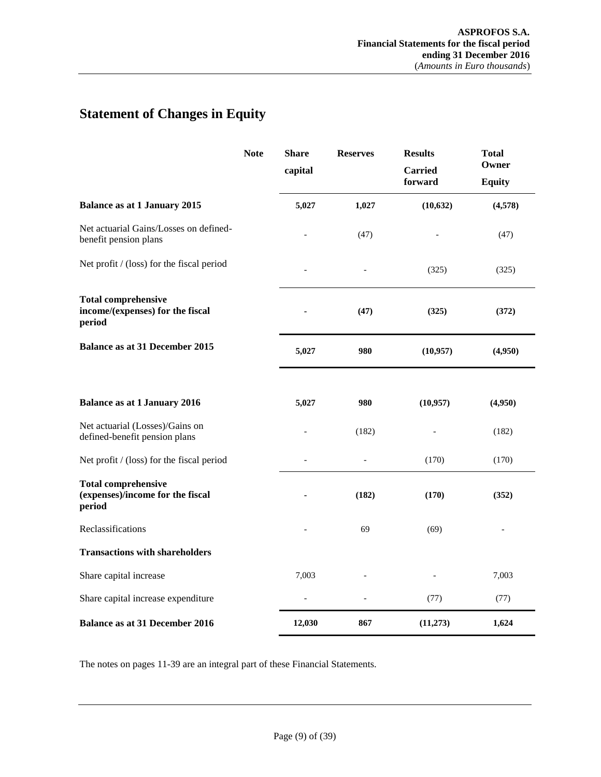# <span id="page-8-0"></span>**Statement of Changes in Equity**

|                                                                          | <b>Note</b> | <b>Share</b> | <b>Reserves</b> | <b>Results</b>            | <b>Total</b>           |
|--------------------------------------------------------------------------|-------------|--------------|-----------------|---------------------------|------------------------|
|                                                                          |             | capital      |                 | <b>Carried</b><br>forward | Owner<br><b>Equity</b> |
| <b>Balance as at 1 January 2015</b>                                      |             | 5,027        | 1,027           | (10, 632)                 | (4,578)                |
| Net actuarial Gains/Losses on defined-<br>benefit pension plans          |             |              | (47)            |                           | (47)                   |
| Net profit / (loss) for the fiscal period                                |             |              |                 | (325)                     | (325)                  |
| <b>Total comprehensive</b><br>income/(expenses) for the fiscal<br>period |             |              | (47)            | (325)                     | (372)                  |
| <b>Balance as at 31 December 2015</b>                                    |             | 5,027        | 980             | (10,957)                  | (4,950)                |
| <b>Balance as at 1 January 2016</b>                                      |             | 5,027        | 980             | (10, 957)                 | (4,950)                |
| Net actuarial (Losses)/Gains on<br>defined-benefit pension plans         |             |              | (182)           |                           | (182)                  |
| Net profit / (loss) for the fiscal period                                |             |              |                 | (170)                     | (170)                  |
| <b>Total comprehensive</b><br>(expenses)/income for the fiscal<br>period |             |              | (182)           | (170)                     | (352)                  |
| Reclassifications                                                        |             |              | 69              | (69)                      |                        |
| <b>Transactions with shareholders</b>                                    |             |              |                 |                           |                        |
| Share capital increase                                                   |             | 7,003        |                 |                           | 7,003                  |
| Share capital increase expenditure                                       |             |              |                 | (77)                      | (77)                   |
| <b>Balance as at 31 December 2016</b>                                    |             | 12,030       | 867             | (11,273)                  | 1,624                  |

The notes on pages 11-39 are an integral part of these Financial Statements.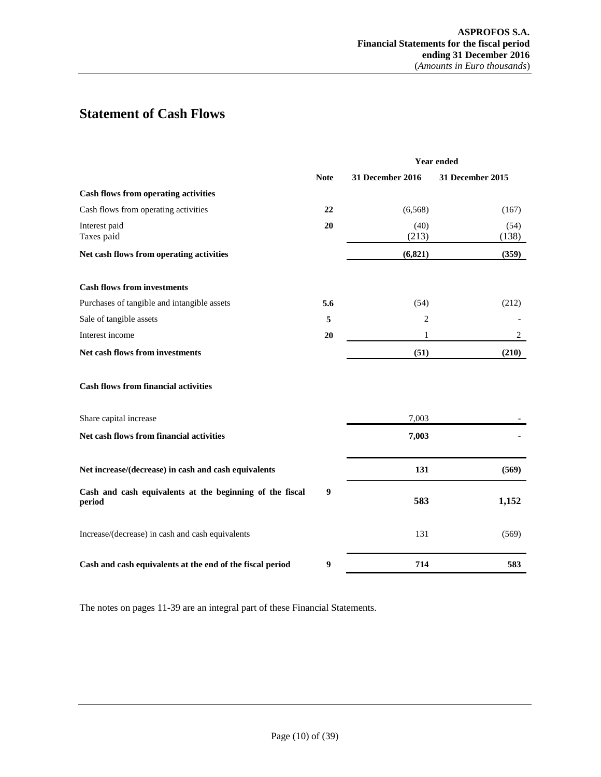# <span id="page-9-0"></span>**Statement of Cash Flows**

|                                                                    | <b>Year ended</b> |                         |                  |
|--------------------------------------------------------------------|-------------------|-------------------------|------------------|
|                                                                    | <b>Note</b>       | <b>31 December 2016</b> | 31 December 2015 |
| <b>Cash flows from operating activities</b>                        |                   |                         |                  |
| Cash flows from operating activities                               | 22                | (6, 568)                | (167)            |
| Interest paid<br>Taxes paid                                        | 20                | (40)<br>(213)           | (54)<br>(138)    |
| Net cash flows from operating activities                           |                   | (6, 821)                | (359)            |
| <b>Cash flows from investments</b>                                 |                   |                         |                  |
| Purchases of tangible and intangible assets                        | 5.6               | (54)                    | (212)            |
| Sale of tangible assets                                            | 5                 | 2                       |                  |
| Interest income                                                    | 20                | 1                       | 2                |
| Net cash flows from investments                                    |                   | (51)                    | (210)            |
| <b>Cash flows from financial activities</b>                        |                   |                         |                  |
| Share capital increase                                             |                   | 7,003                   |                  |
| Net cash flows from financial activities                           |                   | 7,003                   |                  |
| Net increase/(decrease) in cash and cash equivalents               |                   | 131                     | (569)            |
| Cash and cash equivalents at the beginning of the fiscal<br>period | 9                 | 583                     | 1,152            |
| Increase/(decrease) in cash and cash equivalents                   |                   | 131                     | (569)            |
| Cash and cash equivalents at the end of the fiscal period          | 9                 | 714                     | 583              |

The notes on pages 11-39 are an integral part of these Financial Statements.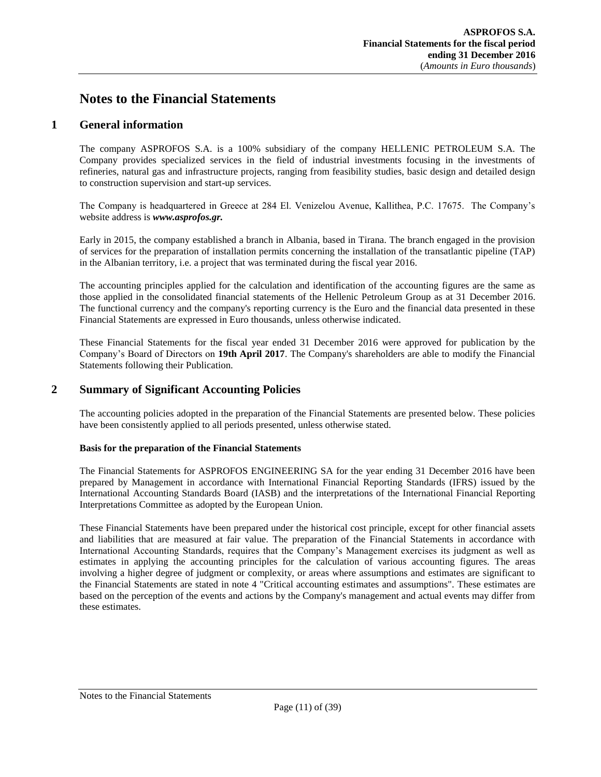# <span id="page-10-1"></span><span id="page-10-0"></span>**Notes to the Financial Statements**

# **1 General information**

The company ASPROFOS S.A. is a 100% subsidiary of the company HELLENIC PETROLEUM S.A. The Company provides specialized services in the field of industrial investments focusing in the investments of refineries, natural gas and infrastructure projects, ranging from feasibility studies, basic design and detailed design to construction supervision and start-up services.

The Company is headquartered in Greece at 284 El. Venizelou Avenue, Kallithea, P.C. 17675. The Company's website address is *www.asprofos.gr.*

Early in 2015, the company established a branch in Albania, based in Tirana. The branch engaged in the provision of services for the preparation of installation permits concerning the installation of the transatlantic pipeline (TAP) in the Albanian territory, i.e. a project that was terminated during the fiscal year 2016.

The accounting principles applied for the calculation and identification of the accounting figures are the same as those applied in the consolidated financial statements of the Hellenic Petroleum Group as at 31 December 2016. The functional currency and the company's reporting currency is the Euro and the financial data presented in these Financial Statements are expressed in Euro thousands, unless otherwise indicated.

These Financial Statements for the fiscal year ended 31 December 2016 were approved for publication by the Company's Board of Directors on **19th April 2017**. The Company's shareholders are able to modify the Financial Statements following their Publication.

# <span id="page-10-2"></span>**2 Summary of Significant Accounting Policies**

The accounting policies adopted in the preparation of the Financial Statements are presented below. These policies have been consistently applied to all periods presented, unless otherwise stated.

## <span id="page-10-3"></span>**Basis for the preparation of the Financial Statements**

The Financial Statements for ASPROFOS ENGINEERING SA for the year ending 31 December 2016 have been prepared by Management in accordance with International Financial Reporting Standards (IFRS) issued by the International Accounting Standards Board (IASB) and the interpretations of the International Financial Reporting Interpretations Committee as adopted by the European Union.

These Financial Statements have been prepared under the historical cost principle, except for other financial assets and liabilities that are measured at fair value. The preparation of the Financial Statements in accordance with International Accounting Standards, requires that the Company's Management exercises its judgment as well as estimates in applying the accounting principles for the calculation of various accounting figures. The areas involving a higher degree of judgment or complexity, or areas where assumptions and estimates are significant to the Financial Statements are stated in note 4 "Critical accounting estimates and assumptions". These estimates are based on the perception of the events and actions by the Company's management and actual events may differ from these estimates.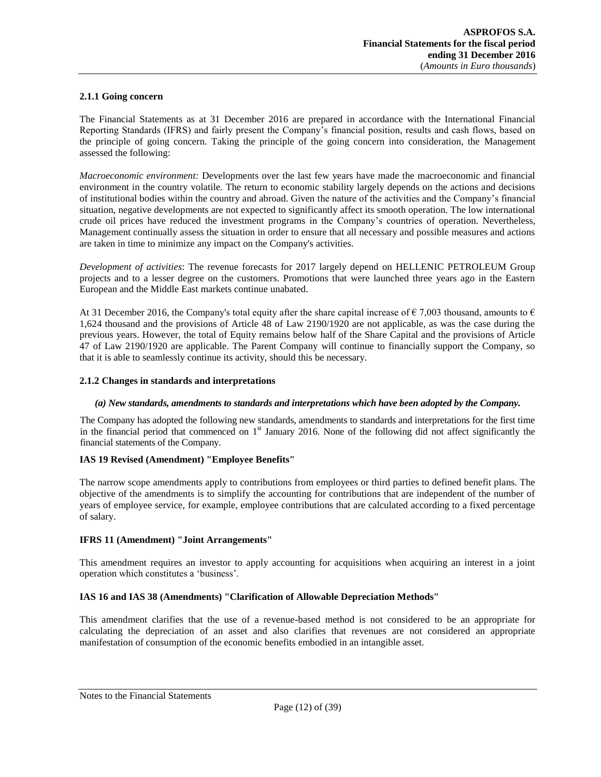## <span id="page-11-0"></span>**2.1.1 Going concern**

The Financial Statements as at 31 December 2016 are prepared in accordance with the International Financial Reporting Standards (IFRS) and fairly present the Company's financial position, results and cash flows, based on the principle of going concern. Taking the principle of the going concern into consideration, the Management assessed the following:

*Macroeconomic environment:* Developments over the last few years have made the macroeconomic and financial environment in the country volatile. The return to economic stability largely depends on the actions and decisions of institutional bodies within the country and abroad. Given the nature of the activities and the Company's financial situation, negative developments are not expected to significantly affect its smooth operation. The low international crude oil prices have reduced the investment programs in the Company's countries of operation. Nevertheless, Management continually assess the situation in order to ensure that all necessary and possible measures and actions are taken in time to minimize any impact on the Company's activities.

*Development of activities*: The revenue forecasts for 2017 largely depend on HELLENIC PETROLEUM Group projects and to a lesser degree on the customers. Promotions that were launched three years ago in the Eastern European and the Middle East markets continue unabated.

At 31 December 2016, the Company's total equity after the share capital increase of  $\epsilon$  7,003 thousand, amounts to  $\epsilon$ 1,624 thousand and the provisions of Article 48 of Law 2190/1920 are not applicable, as was the case during the previous years. However, the total of Equity remains below half of the Share Capital and the provisions of Article 47 of Law 2190/1920 are applicable. The Parent Company will continue to financially support the Company, so that it is able to seamlessly continue its activity, should this be necessary.

#### <span id="page-11-1"></span>**2.1.2 Changes in standards and interpretations**

#### *(a) New standards, amendments to standards and interpretations which have been adopted by the Company.*

The Company has adopted the following new standards, amendments to standards and interpretations for the first time in the financial period that commenced on  $1<sup>st</sup>$  January 2016. None of the following did not affect significantly the financial statements of the Company.

## **IAS 19 Revised (Amendment) "Employee Benefits"**

The narrow scope amendments apply to contributions from employees or third parties to defined benefit plans. The objective of the amendments is to simplify the accounting for contributions that are independent of the number of years of employee service, for example, employee contributions that are calculated according to a fixed percentage of salary.

#### **IFRS 11 (Amendment) "Joint Arrangements"**

This amendment requires an investor to apply accounting for acquisitions when acquiring an interest in a joint operation which constitutes a 'business'.

## **IAS 16 and IAS 38 (Amendments) "Clarification of Allowable Depreciation Methods"**

This amendment clarifies that the use of a revenue-based method is not considered to be an appropriate for calculating the depreciation of an asset and also clarifies that revenues are not considered an appropriate manifestation of consumption of the economic benefits embodied in an intangible asset.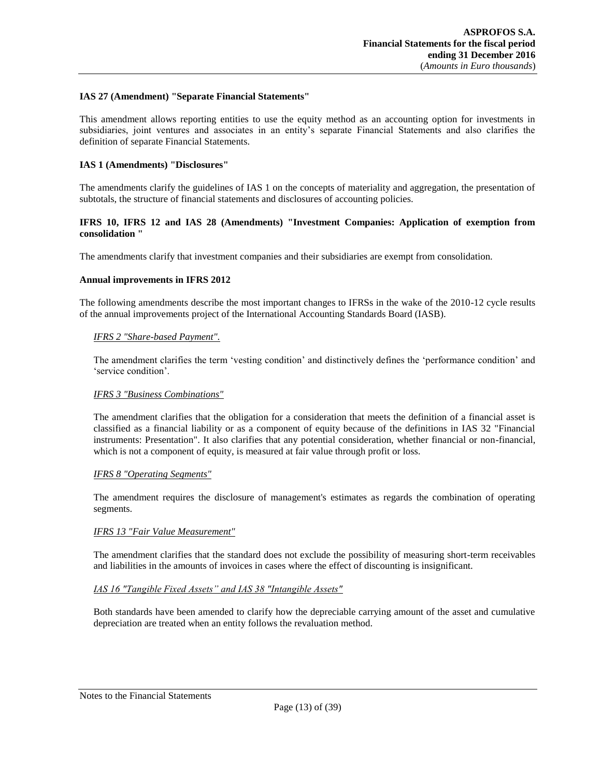#### **IAS 27 (Amendment) "Separate Financial Statements"**

This amendment allows reporting entities to use the equity method as an accounting option for investments in subsidiaries, joint ventures and associates in an entity's separate Financial Statements and also clarifies the definition of separate Financial Statements.

#### **IAS 1 (Amendments) "Disclosures"**

The amendments clarify the guidelines of IAS 1 on the concepts of materiality and aggregation, the presentation of subtotals, the structure of financial statements and disclosures of accounting policies.

#### **IFRS 10, IFRS 12 and IAS 28 (Amendments) "Investment Companies: Application of exemption from consolidation "**

The amendments clarify that investment companies and their subsidiaries are exempt from consolidation.

#### **Annual improvements in IFRS 2012**

The following amendments describe the most important changes to IFRSs in the wake of the 2010-12 cycle results of the annual improvements project of the International Accounting Standards Board (IASB).

#### *IFRS 2 "Share-based Payment".*

The amendment clarifies the term 'vesting condition' and distinctively defines the 'performance condition' and 'service condition'.

## *IFRS 3 "Business Combinations"*

The amendment clarifies that the obligation for a consideration that meets the definition of a financial asset is classified as a financial liability or as a component of equity because of the definitions in IAS 32 "Financial instruments: Presentation". It also clarifies that any potential consideration, whether financial or non-financial, which is not a component of equity, is measured at fair value through profit or loss.

#### *IFRS 8 "Operating Segments"*

The amendment requires the disclosure of management's estimates as regards the combination of operating segments.

## *IFRS 13 "Fair Value Measurement"*

The amendment clarifies that the standard does not exclude the possibility of measuring short-term receivables and liabilities in the amounts of invoices in cases where the effect of discounting is insignificant.

#### *IAS 16 "Tangible Fixed Assets" and IAS 38 "Intangible Assets"*

Both standards have been amended to clarify how the depreciable carrying amount of the asset and cumulative depreciation are treated when an entity follows the revaluation method.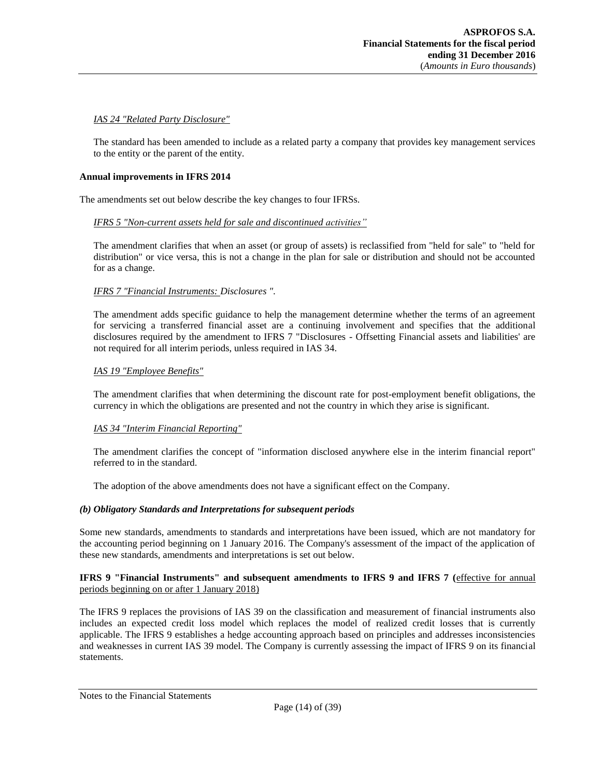## *IAS 24 "Related Party Disclosure"*

The standard has been amended to include as a related party a company that provides key management services to the entity or the parent of the entity.

#### **Annual improvements in IFRS 2014**

The amendments set out below describe the key changes to four IFRSs.

## *IFRS 5 "Non-current assets held for sale and discontinued activities"*

The amendment clarifies that when an asset (or group of assets) is reclassified from "held for sale" to "held for distribution" or vice versa, this is not a change in the plan for sale or distribution and should not be accounted for as a change.

## *IFRS 7 "Financial Instruments: Disclosures ".*

The amendment adds specific guidance to help the management determine whether the terms of an agreement for servicing a transferred financial asset are a continuing involvement and specifies that the additional disclosures required by the amendment to IFRS 7 "Disclosures - Offsetting Financial assets and liabilities' are not required for all interim periods, unless required in IAS 34.

## *IAS 19 "Employee Benefits"*

The amendment clarifies that when determining the discount rate for post-employment benefit obligations, the currency in which the obligations are presented and not the country in which they arise is significant.

## *IAS 34 "Interim Financial Reporting"*

The amendment clarifies the concept of "information disclosed anywhere else in the interim financial report" referred to in the standard.

The adoption of the above amendments does not have a significant effect on the Company.

## *(b) Obligatory Standards and Interpretations for subsequent periods*

Some new standards, amendments to standards and interpretations have been issued, which are not mandatory for the accounting period beginning on 1 January 2016. The Company's assessment of the impact of the application of these new standards, amendments and interpretations is set out below.

#### **IFRS 9 "Financial Instruments" and subsequent amendments to IFRS 9 and IFRS 7 (**effective for annual periods beginning on or after 1 January 2018)

The IFRS 9 replaces the provisions of IAS 39 on the classification and measurement of financial instruments also includes an expected credit loss model which replaces the model of realized credit losses that is currently applicable. The IFRS 9 establishes a hedge accounting approach based on principles and addresses inconsistencies and weaknesses in current IAS 39 model. The Company is currently assessing the impact of IFRS 9 on its financial statements.

## Notes to the Financial Statements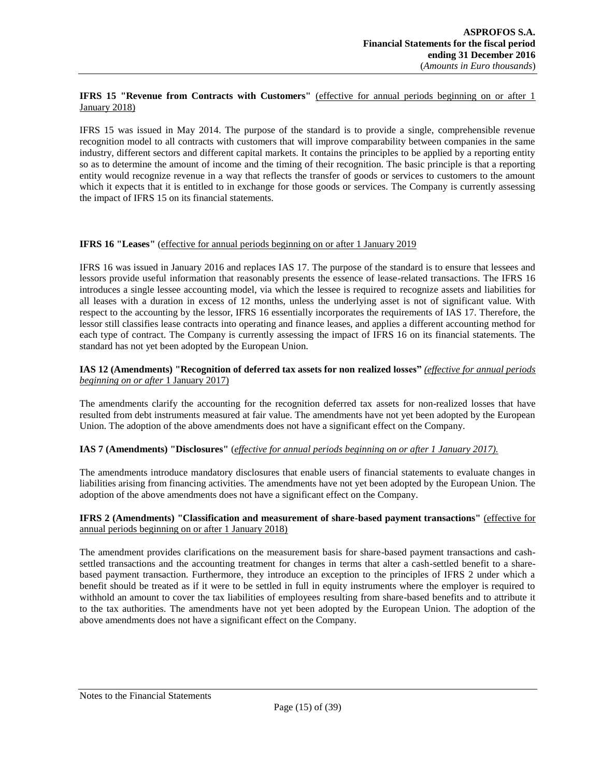## **IFRS 15 "Revenue from Contracts with Customers"** (effective for annual periods beginning on or after 1 January 2018)

IFRS 15 was issued in May 2014. The purpose of the standard is to provide a single, comprehensible revenue recognition model to all contracts with customers that will improve comparability between companies in the same industry, different sectors and different capital markets. It contains the principles to be applied by a reporting entity so as to determine the amount of income and the timing of their recognition. The basic principle is that a reporting entity would recognize revenue in a way that reflects the transfer of goods or services to customers to the amount which it expects that it is entitled to in exchange for those goods or services. The Company is currently assessing the impact of IFRS 15 on its financial statements.

## **IFRS 16 "Leases"** (effective for annual periods beginning on or after 1 January 2019

IFRS 16 was issued in January 2016 and replaces IAS 17. The purpose of the standard is to ensure that lessees and lessors provide useful information that reasonably presents the essence of lease-related transactions. The IFRS 16 introduces a single lessee accounting model, via which the lessee is required to recognize assets and liabilities for all leases with a duration in excess of 12 months, unless the underlying asset is not of significant value. With respect to the accounting by the lessor, IFRS 16 essentially incorporates the requirements of IAS 17. Therefore, the lessor still classifies lease contracts into operating and finance leases, and applies a different accounting method for each type of contract. The Company is currently assessing the impact of IFRS 16 on its financial statements. The standard has not yet been adopted by the European Union.

## **IAS 12 (Amendments) "Recognition of deferred tax assets for non realized losses"** *(effective for annual periods beginning on or after* 1 January 2017)

The amendments clarify the accounting for the recognition deferred tax assets for non-realized losses that have resulted from debt instruments measured at fair value. The amendments have not yet been adopted by the European Union. The adoption of the above amendments does not have a significant effect on the Company.

## **IAS 7 (Amendments) "Disclosures"** (*effective for annual periods beginning on or after 1 January 2017).*

The amendments introduce mandatory disclosures that enable users of financial statements to evaluate changes in liabilities arising from financing activities. The amendments have not yet been adopted by the European Union. The adoption of the above amendments does not have a significant effect on the Company.

## **IFRS 2 (Amendments) "Classification and measurement of share-based payment transactions"** (effective for annual periods beginning on or after 1 January 2018)

The amendment provides clarifications on the measurement basis for share-based payment transactions and cashsettled transactions and the accounting treatment for changes in terms that alter a cash-settled benefit to a sharebased payment transaction. Furthermore, they introduce an exception to the principles of IFRS 2 under which a benefit should be treated as if it were to be settled in full in equity instruments where the employer is required to withhold an amount to cover the tax liabilities of employees resulting from share-based benefits and to attribute it to the tax authorities. The amendments have not yet been adopted by the European Union. The adoption of the above amendments does not have a significant effect on the Company.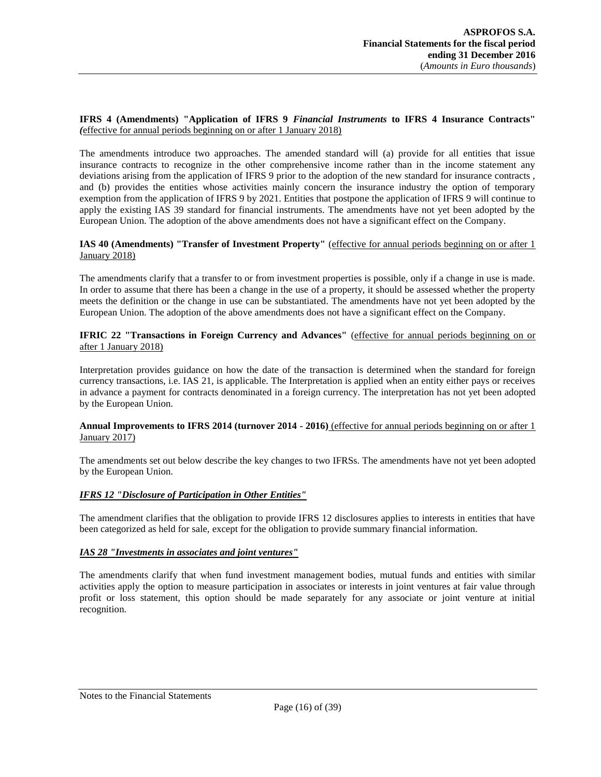## **IFRS 4 (Amendments) "Application of IFRS 9** *Financial Instruments* **to IFRS 4 Insurance Contracts"** *(*effective for annual periods beginning on or after 1 January 2018)

The amendments introduce two approaches. The amended standard will (a) provide for all entities that issue insurance contracts to recognize in the other comprehensive income rather than in the income statement any deviations arising from the application of IFRS 9 prior to the adoption of the new standard for insurance contracts , and (b) provides the entities whose activities mainly concern the insurance industry the option of temporary exemption from the application of IFRS 9 by 2021. Entities that postpone the application of IFRS 9 will continue to apply the existing IAS 39 standard for financial instruments. The amendments have not yet been adopted by the European Union. The adoption of the above amendments does not have a significant effect on the Company.

## **IAS 40 (Amendments) "Transfer of Investment Property"** (effective for annual periods beginning on or after 1 January 2018)

The amendments clarify that a transfer to or from investment properties is possible, only if a change in use is made. In order to assume that there has been a change in the use of a property, it should be assessed whether the property meets the definition or the change in use can be substantiated. The amendments have not yet been adopted by the European Union. The adoption of the above amendments does not have a significant effect on the Company.

## **IFRIC 22 "Transactions in Foreign Currency and Advances"** (effective for annual periods beginning on or after 1 January 2018)

Interpretation provides guidance on how the date of the transaction is determined when the standard for foreign currency transactions, i.e. IAS 21, is applicable. The Interpretation is applied when an entity either pays or receives in advance a payment for contracts denominated in a foreign currency. The interpretation has not yet been adopted by the European Union.

## **Annual Improvements to IFRS 2014 (turnover 2014 - 2016)** (effective for annual periods beginning on or after 1 January 2017)

The amendments set out below describe the key changes to two IFRSs. The amendments have not yet been adopted by the European Union.

## *IFRS 12 "Disclosure of Participation in Other Entities"*

The amendment clarifies that the obligation to provide IFRS 12 disclosures applies to interests in entities that have been categorized as held for sale, except for the obligation to provide summary financial information.

## *IAS 28 "Investments in associates and joint ventures"*

The amendments clarify that when fund investment management bodies, mutual funds and entities with similar activities apply the option to measure participation in associates or interests in joint ventures at fair value through profit or loss statement, this option should be made separately for any associate or joint venture at initial recognition.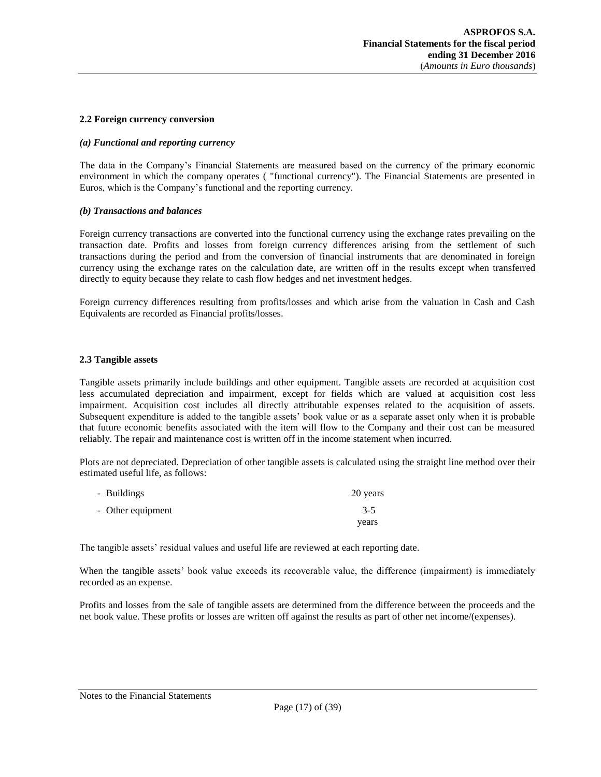#### <span id="page-16-0"></span>**2.2 Foreign currency conversion**

#### *(a) Functional and reporting currency*

The data in the Company's Financial Statements are measured based on the currency of the primary economic environment in which the company operates ( "functional currency"). The Financial Statements are presented in Euros, which is the Company's functional and the reporting currency.

#### *(b) Transactions and balances*

Foreign currency transactions are converted into the functional currency using the exchange rates prevailing on the transaction date. Profits and losses from foreign currency differences arising from the settlement of such transactions during the period and from the conversion of financial instruments that are denominated in foreign currency using the exchange rates on the calculation date, are written off in the results except when transferred directly to equity because they relate to cash flow hedges and net investment hedges.

Foreign currency differences resulting from profits/losses and which arise from the valuation in Cash and Cash Equivalents are recorded as Financial profits/losses.

#### <span id="page-16-1"></span>**2.3 Tangible assets**

Tangible assets primarily include buildings and other equipment. Tangible assets are recorded at acquisition cost less accumulated depreciation and impairment, except for fields which are valued at acquisition cost less impairment. Acquisition cost includes all directly attributable expenses related to the acquisition of assets. Subsequent expenditure is added to the tangible assets' book value or as a separate asset only when it is probable that future economic benefits associated with the item will flow to the Company and their cost can be measured reliably. The repair and maintenance cost is written off in the income statement when incurred.

Plots are not depreciated. Depreciation of other tangible assets is calculated using the straight line method over their estimated useful life, as follows:

| - Buildings       | 20 years |
|-------------------|----------|
| - Other equipment | $3-5$    |
|                   | years    |

The tangible assets' residual values and useful life are reviewed at each reporting date.

When the tangible assets' book value exceeds its recoverable value, the difference (impairment) is immediately recorded as an expense.

Profits and losses from the sale of tangible assets are determined from the difference between the proceeds and the net book value. These profits or losses are written off against the results as part of other net income/(expenses).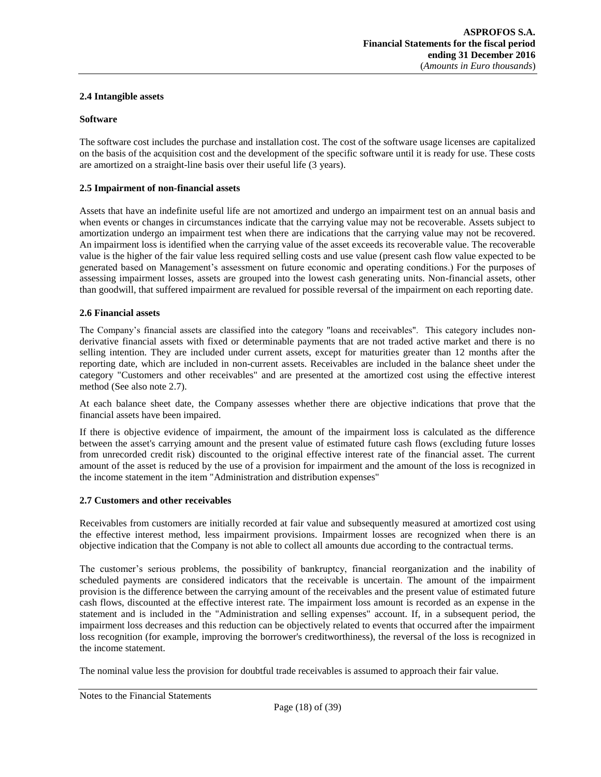## <span id="page-17-0"></span>**2.4 Intangible assets**

#### **Software**

The software cost includes the purchase and installation cost. The cost of the software usage licenses are capitalized on the basis of the acquisition cost and the development of the specific software until it is ready for use. These costs are amortized on a straight-line basis over their useful life (3 years).

#### <span id="page-17-1"></span>**2.5 Impairment of non-financial assets**

Assets that have an indefinite useful life are not amortized and undergo an impairment test on an annual basis and when events or changes in circumstances indicate that the carrying value may not be recoverable. Assets subject to amortization undergo an impairment test when there are indications that the carrying value may not be recovered. An impairment loss is identified when the carrying value of the asset exceeds its recoverable value. The recoverable value is the higher of the fair value less required selling costs and use value (present cash flow value expected to be generated based on Management's assessment on future economic and operating conditions.) For the purposes of assessing impairment losses, assets are grouped into the lowest cash generating units. Non-financial assets, other than goodwill, that suffered impairment are revalued for possible reversal of the impairment on each reporting date.

## <span id="page-17-2"></span>**2.6 Financial assets**

The Company's financial assets are classified into the category "loans and receivables". This category includes nonderivative financial assets with fixed or determinable payments that are not traded active market and there is no selling intention. They are included under current assets, except for maturities greater than 12 months after the reporting date, which are included in non-current assets. Receivables are included in the balance sheet under the category "Customers and other receivables" and are presented at the amortized cost using the effective interest method (See also note 2.7).

At each balance sheet date, the Company assesses whether there are objective indications that prove that the financial assets have been impaired.

If there is objective evidence of impairment, the amount of the impairment loss is calculated as the difference between the asset's carrying amount and the present value of estimated future cash flows (excluding future losses from unrecorded credit risk) discounted to the original effective interest rate of the financial asset. The current amount of the asset is reduced by the use of a provision for impairment and the amount of the loss is recognized in the income statement in the item "Administration and distribution expenses"

#### <span id="page-17-3"></span>**2.7 Customers and other receivables**

Receivables from customers are initially recorded at fair value and subsequently measured at amortized cost using the effective interest method, less impairment provisions. Impairment losses are recognized when there is an objective indication that the Company is not able to collect all amounts due according to the contractual terms.

The customer's serious problems, the possibility of bankruptcy, financial reorganization and the inability of scheduled payments are considered indicators that the receivable is uncertain. The amount of the impairment provision is the difference between the carrying amount of the receivables and the present value of estimated future cash flows, discounted at the effective interest rate. The impairment loss amount is recorded as an expense in the statement and is included in the "Administration and selling expenses" account. If, in a subsequent period, the impairment loss decreases and this reduction can be objectively related to events that occurred after the impairment loss recognition (for example, improving the borrower's creditworthiness), the reversal of the loss is recognized in the income statement.

The nominal value less the provision for doubtful trade receivables is assumed to approach their fair value.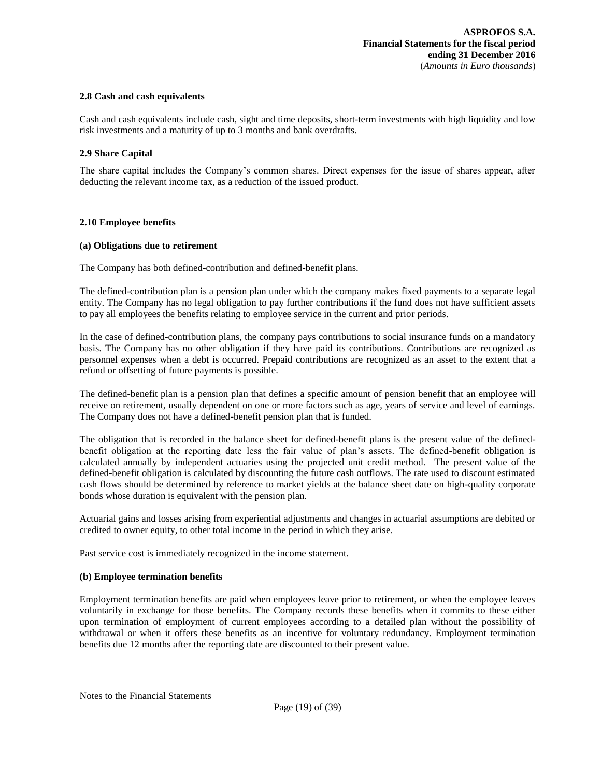## <span id="page-18-0"></span>**2.8 Cash and cash equivalents**

Cash and cash equivalents include cash, sight and time deposits, short-term investments with high liquidity and low risk investments and a maturity of up to 3 months and bank overdrafts.

## <span id="page-18-1"></span>**2.9 Share Capital**

The share capital includes the Company's common shares. Direct expenses for the issue of shares appear, after deducting the relevant income tax, as a reduction of the issued product.

## <span id="page-18-2"></span>**2.10 Employee benefits**

## **(a) Obligations due to retirement**

The Company has both defined-contribution and defined-benefit plans.

The defined-contribution plan is a pension plan under which the company makes fixed payments to a separate legal entity. The Company has no legal obligation to pay further contributions if the fund does not have sufficient assets to pay all employees the benefits relating to employee service in the current and prior periods.

In the case of defined-contribution plans, the company pays contributions to social insurance funds on a mandatory basis. The Company has no other obligation if they have paid its contributions. Contributions are recognized as personnel expenses when a debt is occurred. Prepaid contributions are recognized as an asset to the extent that a refund or offsetting of future payments is possible.

The defined-benefit plan is a pension plan that defines a specific amount of pension benefit that an employee will receive on retirement, usually dependent on one or more factors such as age, years of service and level of earnings. The Company does not have a defined-benefit pension plan that is funded.

The obligation that is recorded in the balance sheet for defined-benefit plans is the present value of the definedbenefit obligation at the reporting date less the fair value of plan's assets. The defined-benefit obligation is calculated annually by independent actuaries using the projected unit credit method. The present value of the defined-benefit obligation is calculated by discounting the future cash outflows. The rate used to discount estimated cash flows should be determined by reference to market yields at the balance sheet date on high-quality corporate bonds whose duration is equivalent with the pension plan.

Actuarial gains and losses arising from experiential adjustments and changes in actuarial assumptions are debited or credited to owner equity, to other total income in the period in which they arise.

Past service cost is immediately recognized in the income statement.

## **(b) Employee termination benefits**

Employment termination benefits are paid when employees leave prior to retirement, or when the employee leaves voluntarily in exchange for those benefits. The Company records these benefits when it commits to these either upon termination of employment of current employees according to a detailed plan without the possibility of withdrawal or when it offers these benefits as an incentive for voluntary redundancy. Employment termination benefits due 12 months after the reporting date are discounted to their present value.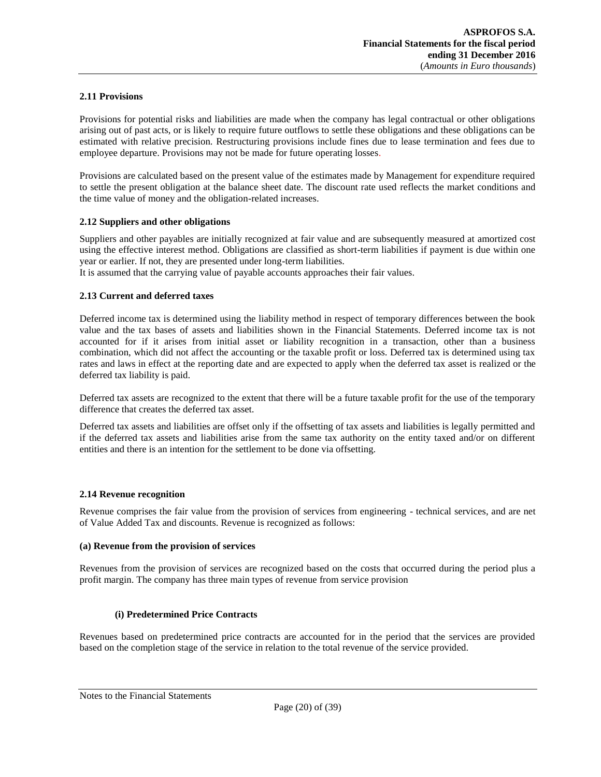## <span id="page-19-0"></span>**2.11 Provisions**

Provisions for potential risks and liabilities are made when the company has legal contractual or other obligations arising out of past acts, or is likely to require future outflows to settle these obligations and these obligations can be estimated with relative precision. Restructuring provisions include fines due to lease termination and fees due to employee departure. Provisions may not be made for future operating losses.

Provisions are calculated based on the present value of the estimates made by Management for expenditure required to settle the present obligation at the balance sheet date. The discount rate used reflects the market conditions and the time value of money and the obligation-related increases.

## <span id="page-19-1"></span>**2.12 Suppliers and other obligations**

Suppliers and other payables are initially recognized at fair value and are subsequently measured at amortized cost using the effective interest method. Obligations are classified as short-term liabilities if payment is due within one year or earlier. If not, they are presented under long-term liabilities.

<span id="page-19-2"></span>It is assumed that the carrying value of payable accounts approaches their fair values.

## **2.13 Current and deferred taxes**

Deferred income tax is determined using the liability method in respect of temporary differences between the book value and the tax bases of assets and liabilities shown in the Financial Statements. Deferred income tax is not accounted for if it arises from initial asset or liability recognition in a transaction, other than a business combination, which did not affect the accounting or the taxable profit or loss. Deferred tax is determined using tax rates and laws in effect at the reporting date and are expected to apply when the deferred tax asset is realized or the deferred tax liability is paid.

Deferred tax assets are recognized to the extent that there will be a future taxable profit for the use of the temporary difference that creates the deferred tax asset.

Deferred tax assets and liabilities are offset only if the offsetting of tax assets and liabilities is legally permitted and if the deferred tax assets and liabilities arise from the same tax authority on the entity taxed and/or on different entities and there is an intention for the settlement to be done via offsetting.

## <span id="page-19-3"></span>**2.14 Revenue recognition**

Revenue comprises the fair value from the provision of services from engineering - technical services, and are net of Value Added Tax and discounts. Revenue is recognized as follows:

#### **(a) Revenue from the provision of services**

Revenues from the provision of services are recognized based on the costs that occurred during the period plus a profit margin. The company has three main types of revenue from service provision

## **(i) Predetermined Price Contracts**

Revenues based on predetermined price contracts are accounted for in the period that the services are provided based on the completion stage of the service in relation to the total revenue of the service provided.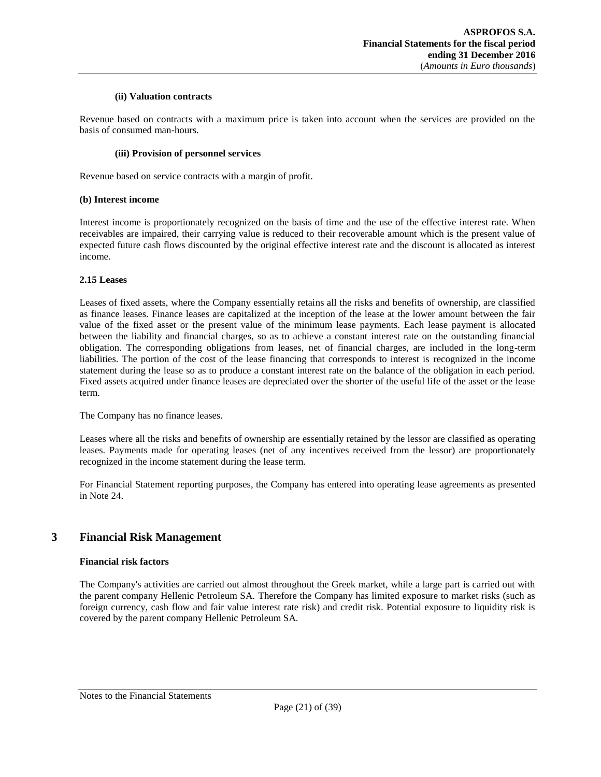## **(ii) Valuation contracts**

Revenue based on contracts with a maximum price is taken into account when the services are provided on the basis of consumed man-hours.

#### **(iii) Provision of personnel services**

Revenue based on service contracts with a margin of profit.

#### **(b) Interest income**

Interest income is proportionately recognized on the basis of time and the use of the effective interest rate. When receivables are impaired, their carrying value is reduced to their recoverable amount which is the present value of expected future cash flows discounted by the original effective interest rate and the discount is allocated as interest income.

#### <span id="page-20-0"></span>**2.15 Leases**

Leases of fixed assets, where the Company essentially retains all the risks and benefits of ownership, are classified as finance leases. Finance leases are capitalized at the inception of the lease at the lower amount between the fair value of the fixed asset or the present value of the minimum lease payments. Each lease payment is allocated between the liability and financial charges, so as to achieve a constant interest rate on the outstanding financial obligation. The corresponding obligations from leases, net of financial charges, are included in the long-term liabilities. The portion of the cost of the lease financing that corresponds to interest is recognized in the income statement during the lease so as to produce a constant interest rate on the balance of the obligation in each period. Fixed assets acquired under finance leases are depreciated over the shorter of the useful life of the asset or the lease term.

The Company has no finance leases.

Leases where all the risks and benefits of ownership are essentially retained by the lessor are classified as operating leases. Payments made for operating leases (net of any incentives received from the lessor) are proportionately recognized in the income statement during the lease term.

For Financial Statement reporting purposes, the Company has entered into operating lease agreements as presented in Note 24.

# <span id="page-20-1"></span>**3 Financial Risk Management**

## **Financial risk factors**

The Company's activities are carried out almost throughout the Greek market, while a large part is carried out with the parent company Hellenic Petroleum SA. Therefore the Company has limited exposure to market risks (such as foreign currency, cash flow and fair value interest rate risk) and credit risk. Potential exposure to liquidity risk is covered by the parent company Hellenic Petroleum SA.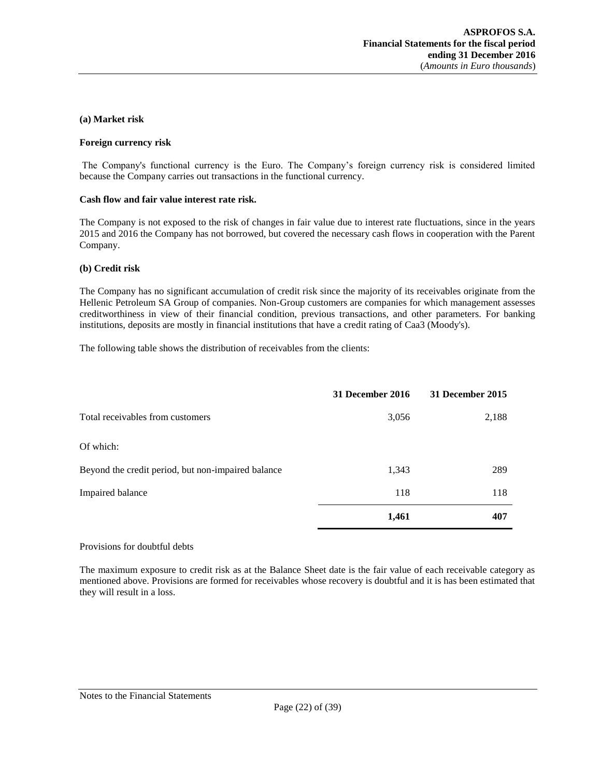#### **(a) Market risk**

#### **Foreign currency risk**

The Company's functional currency is the Euro. The Company's foreign currency risk is considered limited because the Company carries out transactions in the functional currency.

#### **Cash flow and fair value interest rate risk.**

The Company is not exposed to the risk of changes in fair value due to interest rate fluctuations, since in the years 2015 and 2016 the Company has not borrowed, but covered the necessary cash flows in cooperation with the Parent Company.

#### **(b) Credit risk**

The Company has no significant accumulation of credit risk since the majority of its receivables originate from the Hellenic Petroleum SA Group of companies. Non-Group customers are companies for which management assesses creditworthiness in view of their financial condition, previous transactions, and other parameters. For banking institutions, deposits are mostly in financial institutions that have a credit rating of Caa3 (Moody's).

The following table shows the distribution of receivables from the clients:

|                                                    | 31 December 2016 | 31 December 2015 |
|----------------------------------------------------|------------------|------------------|
| Total receivables from customers                   | 3,056            | 2,188            |
| Of which:                                          |                  |                  |
| Beyond the credit period, but non-impaired balance | 1,343            | 289              |
| Impaired balance                                   | 118              | 118              |
|                                                    | 1,461            | 407              |

#### Provisions for doubtful debts

The maximum exposure to credit risk as at the Balance Sheet date is the fair value of each receivable category as mentioned above. Provisions are formed for receivables whose recovery is doubtful and it is has been estimated that they will result in a loss.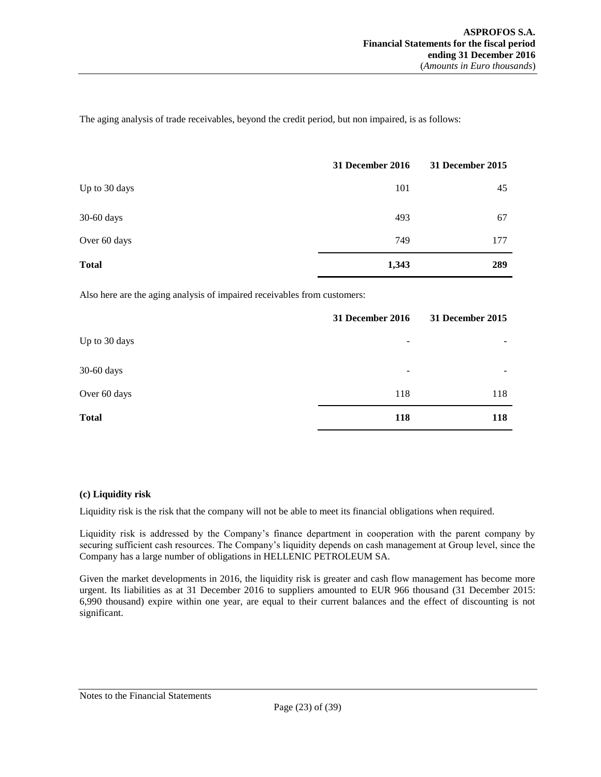The aging analysis of trade receivables, beyond the credit period, but non impaired, is as follows:

|               | 31 December 2016 | 31 December 2015 |
|---------------|------------------|------------------|
| Up to 30 days | 101              | 45               |
| 30-60 days    | 493              | 67               |
| Over 60 days  | 749              | 177              |
| <b>Total</b>  | 1,343            | 289              |

Also here are the aging analysis of impaired receivables from customers:

|               | 31 December 2016 | 31 December 2015 |
|---------------|------------------|------------------|
| Up to 30 days | -                | ۰                |
| 30-60 days    | -                | ۰                |
| Over 60 days  | 118              | 118              |
| <b>Total</b>  | 118              | 118              |

## **(c) Liquidity risk**

Liquidity risk is the risk that the company will not be able to meet its financial obligations when required.

Liquidity risk is addressed by the Company's finance department in cooperation with the parent company by securing sufficient cash resources. The Company's liquidity depends on cash management at Group level, since the Company has a large number of obligations in HELLENIC PETROLEUM SA.

Given the market developments in 2016, the liquidity risk is greater and cash flow management has become more urgent. Its liabilities as at 31 December 2016 to suppliers amounted to EUR 966 thousand (31 December 2015: 6,990 thousand) expire within one year, are equal to their current balances and the effect of discounting is not significant.

## Notes to the Financial Statements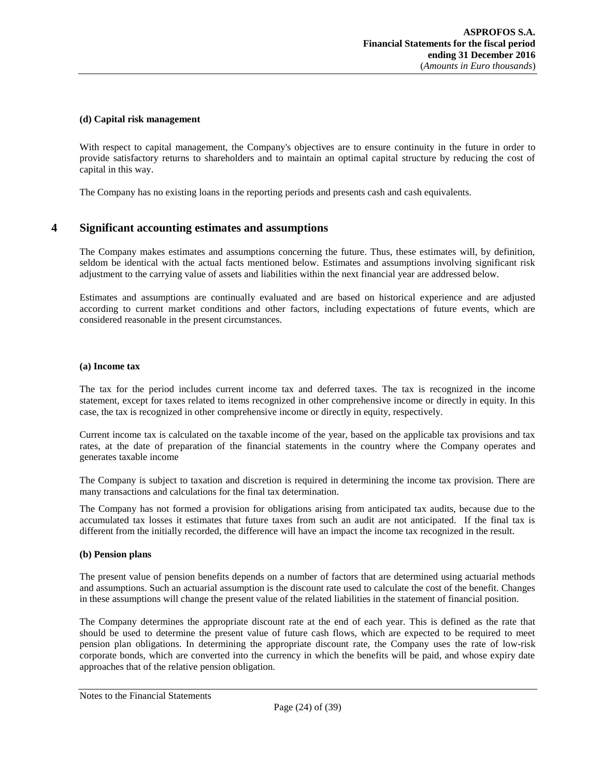#### **(d) Capital risk management**

With respect to capital management, the Company's objectives are to ensure continuity in the future in order to provide satisfactory returns to shareholders and to maintain an optimal capital structure by reducing the cost of capital in this way.

<span id="page-23-0"></span>The Company has no existing loans in the reporting periods and presents cash and cash equivalents.

# **4 Significant accounting estimates and assumptions**

The Company makes estimates and assumptions concerning the future. Thus, these estimates will, by definition, seldom be identical with the actual facts mentioned below. Estimates and assumptions involving significant risk adjustment to the carrying value of assets and liabilities within the next financial year are addressed below.

Estimates and assumptions are continually evaluated and are based on historical experience and are adjusted according to current market conditions and other factors, including expectations of future events, which are considered reasonable in the present circumstances.

#### **(a) Income tax**

The tax for the period includes current income tax and deferred taxes. The tax is recognized in the income statement, except for taxes related to items recognized in other comprehensive income or directly in equity. In this case, the tax is recognized in other comprehensive income or directly in equity, respectively.

Current income tax is calculated on the taxable income of the year, based on the applicable tax provisions and tax rates, at the date of preparation of the financial statements in the country where the Company operates and generates taxable income

The Company is subject to taxation and discretion is required in determining the income tax provision. There are many transactions and calculations for the final tax determination.

The Company has not formed a provision for obligations arising from anticipated tax audits, because due to the accumulated tax losses it estimates that future taxes from such an audit are not anticipated. If the final tax is different from the initially recorded, the difference will have an impact the income tax recognized in the result.

## **(b) Pension plans**

The present value of pension benefits depends on a number of factors that are determined using actuarial methods and assumptions. Such an actuarial assumption is the discount rate used to calculate the cost of the benefit. Changes in these assumptions will change the present value of the related liabilities in the statement of financial position.

The Company determines the appropriate discount rate at the end of each year. This is defined as the rate that should be used to determine the present value of future cash flows, which are expected to be required to meet pension plan obligations. In determining the appropriate discount rate, the Company uses the rate of low-risk corporate bonds, which are converted into the currency in which the benefits will be paid, and whose expiry date approaches that of the relative pension obligation.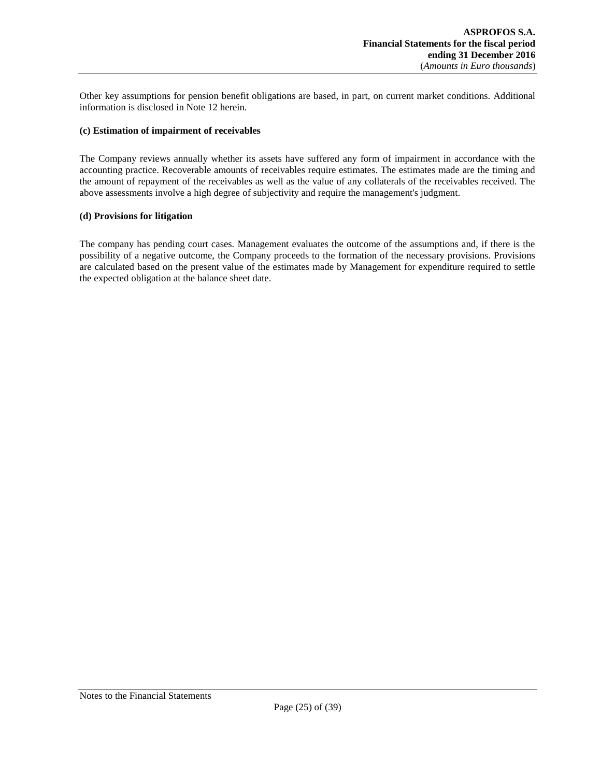Other key assumptions for pension benefit obligations are based, in part, on current market conditions. Additional information is disclosed in Note 12 herein.

## **(c) Estimation of impairment of receivables**

The Company reviews annually whether its assets have suffered any form of impairment in accordance with the accounting practice. Recoverable amounts of receivables require estimates. The estimates made are the timing and the amount of repayment of the receivables as well as the value of any collaterals of the receivables received. The above assessments involve a high degree of subjectivity and require the management's judgment.

#### **(d) Provisions for litigation**

The company has pending court cases. Management evaluates the outcome of the assumptions and, if there is the possibility of a negative outcome, the Company proceeds to the formation of the necessary provisions. Provisions are calculated based on the present value of the estimates made by Management for expenditure required to settle the expected obligation at the balance sheet date.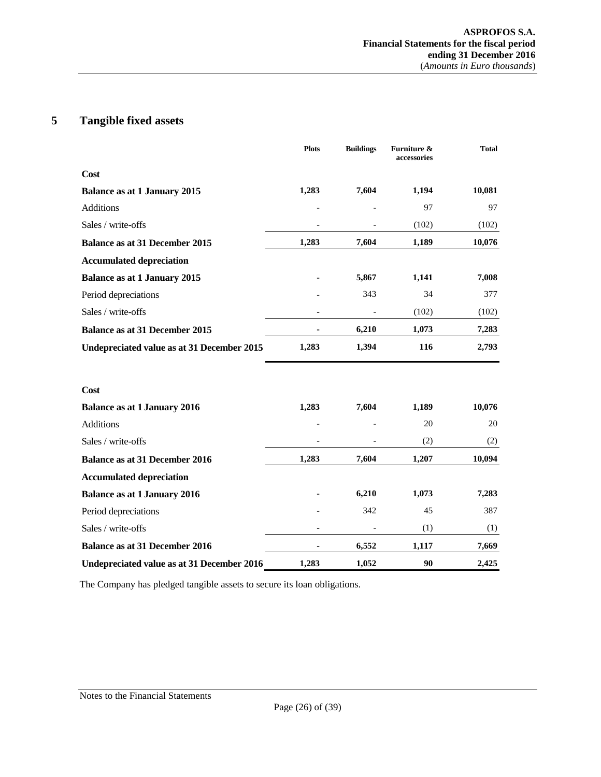# <span id="page-25-0"></span>**5 Tangible fixed assets**

|                                            | <b>Plots</b> | <b>Buildings</b> | Furniture &<br>accessories | <b>Total</b> |
|--------------------------------------------|--------------|------------------|----------------------------|--------------|
| Cost                                       |              |                  |                            |              |
| <b>Balance as at 1 January 2015</b>        | 1,283        | 7,604            | 1,194                      | 10,081       |
| Additions                                  |              |                  | 97                         | 97           |
| Sales / write-offs                         |              |                  | (102)                      | (102)        |
| <b>Balance as at 31 December 2015</b>      | 1,283        | 7,604            | 1,189                      | 10,076       |
| <b>Accumulated depreciation</b>            |              |                  |                            |              |
| <b>Balance as at 1 January 2015</b>        |              | 5,867            | 1,141                      | 7,008        |
| Period depreciations                       |              | 343              | 34                         | 377          |
| Sales / write-offs                         |              |                  | (102)                      | (102)        |
| <b>Balance as at 31 December 2015</b>      | ä,           | 6,210            | 1,073                      | 7,283        |
| Undepreciated value as at 31 December 2015 | 1,283        | 1,394            | 116                        | 2,793        |
| Cost                                       |              |                  |                            |              |
| <b>Balance as at 1 January 2016</b>        | 1,283        | 7,604            | 1,189                      | 10,076       |
| <b>Additions</b>                           |              |                  | 20                         | 20           |
| Sales / write-offs                         |              |                  | (2)                        | (2)          |
| <b>Balance as at 31 December 2016</b>      | 1,283        | 7,604            | 1,207                      | 10,094       |
| <b>Accumulated depreciation</b>            |              |                  |                            |              |
| <b>Balance as at 1 January 2016</b>        |              | 6,210            | 1,073                      | 7,283        |
| Period depreciations                       |              | 342              | 45                         | 387          |
| Sales / write-offs                         |              |                  | (1)                        | (1)          |
| <b>Balance as at 31 December 2016</b>      |              | 6,552            | 1,117                      | 7,669        |
| Undepreciated value as at 31 December 2016 | 1,283        | 1,052            | 90                         | 2,425        |

The Company has pledged tangible assets to secure its loan obligations.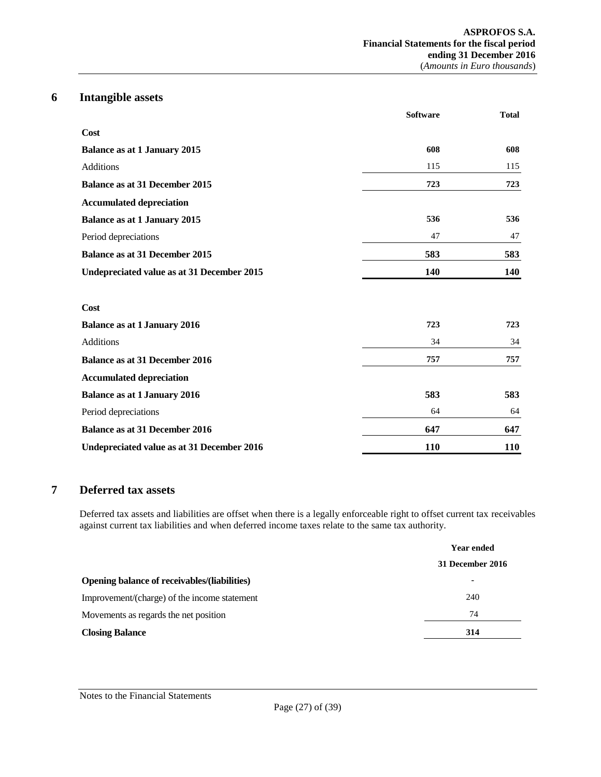# **6 Intangible assets**

<span id="page-26-0"></span>

|                                            | <b>Software</b> | <b>Total</b> |
|--------------------------------------------|-----------------|--------------|
| Cost                                       |                 |              |
| <b>Balance as at 1 January 2015</b>        | 608             | 608          |
| <b>Additions</b>                           | 115             | 115          |
| <b>Balance as at 31 December 2015</b>      | 723             | 723          |
| <b>Accumulated depreciation</b>            |                 |              |
| <b>Balance as at 1 January 2015</b>        | 536             | 536          |
| Period depreciations                       | 47              | 47           |
| <b>Balance as at 31 December 2015</b>      | 583             | 583          |
| Undepreciated value as at 31 December 2015 | 140             | 140          |
| Cost                                       |                 |              |
| <b>Balance as at 1 January 2016</b>        | 723             | 723          |
| <b>Additions</b>                           | 34              | 34           |
| <b>Balance as at 31 December 2016</b>      | 757             | 757          |
| <b>Accumulated depreciation</b>            |                 |              |
| <b>Balance as at 1 January 2016</b>        | 583             | 583          |
| Period depreciations                       | 64              | 64           |
| <b>Balance as at 31 December 2016</b>      | 647             | 647          |
| Undepreciated value as at 31 December 2016 | <b>110</b>      | <b>110</b>   |

# <span id="page-26-1"></span>**7 Deferred tax assets**

Deferred tax assets and liabilities are offset when there is a legally enforceable right to offset current tax receivables against current tax liabilities and when deferred income taxes relate to the same tax authority.

|                                              | <b>Year ended</b> |  |
|----------------------------------------------|-------------------|--|
|                                              | 31 December 2016  |  |
| Opening balance of receivables/(liabilities) | ۰                 |  |
| Improvement/(charge) of the income statement | 240               |  |
| Movements as regards the net position        | 74                |  |
| <b>Closing Balance</b>                       | 314               |  |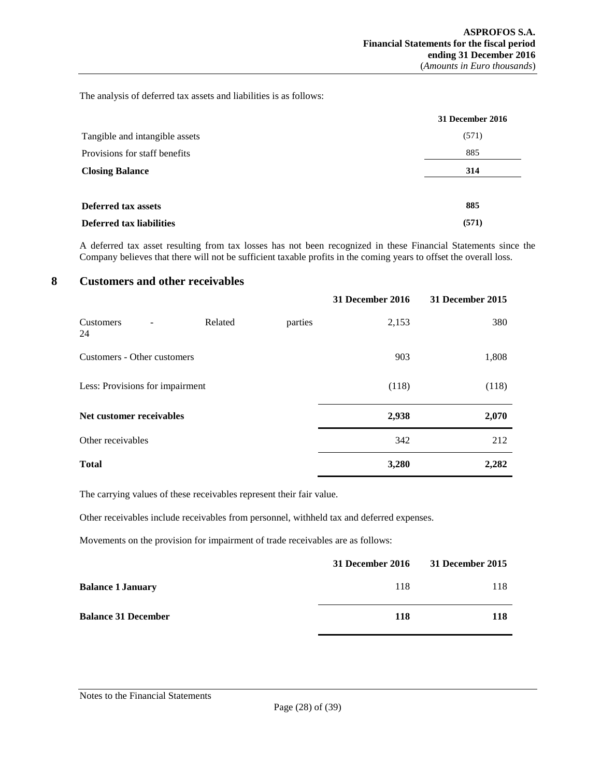The analysis of deferred tax assets and liabilities is as follows:

|                                | 31 December 2016 |
|--------------------------------|------------------|
| Tangible and intangible assets | (571)            |
| Provisions for staff benefits  | 885              |
| <b>Closing Balance</b>         | 314              |
| <b>Deferred tax assets</b>     | 885              |
| Deferred tax liabilities       | (571)            |

<span id="page-27-0"></span>A deferred tax asset resulting from tax losses has not been recognized in these Financial Statements since the Company believes that there will not be sufficient taxable profits in the coming years to offset the overall loss.

# **8 Customers and other receivables**

|                                 |         |         | 31 December 2016 | 31 December 2015 |
|---------------------------------|---------|---------|------------------|------------------|
| Customers<br>24                 | Related | parties | 2,153            | 380              |
| Customers - Other customers     |         |         | 903              | 1,808            |
| Less: Provisions for impairment |         |         | (118)            | (118)            |
| Net customer receivables        |         |         | 2,938            | 2,070            |
| Other receivables               |         |         | 342              | 212              |
| <b>Total</b>                    |         |         | 3,280            | 2,282            |

The carrying values of these receivables represent their fair value.

Other receivables include receivables from personnel, withheld tax and deferred expenses.

Movements on the provision for impairment of trade receivables are as follows:

|                            | 31 December 2016 | 31 December 2015 |
|----------------------------|------------------|------------------|
| <b>Balance 1 January</b>   | 118              | 118              |
| <b>Balance 31 December</b> | 118              | 118              |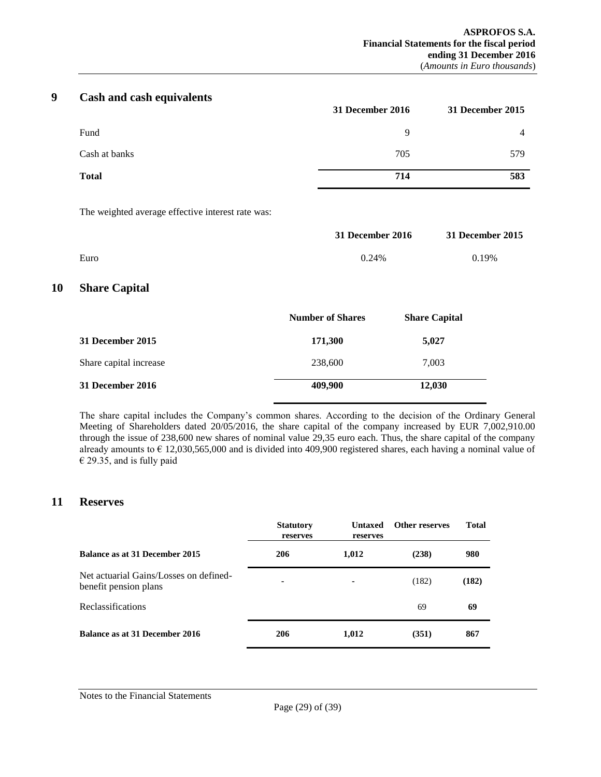# **9 Cash and cash equivalents**

<span id="page-28-0"></span>

|               | 31 December 2016 | 31 December 2015 |
|---------------|------------------|------------------|
| Fund          | 9                | 4                |
| Cash at banks | 705              | 579              |
| <b>Total</b>  | 714              | 583              |

The weighted average effective interest rate was:

|      | 31 December 2016 | 31 December 2015 |
|------|------------------|------------------|
| Euro | 0.24%            | 0.19%            |

# <span id="page-28-1"></span>**10 Share Capital**

|                        | <b>Number of Shares</b> | <b>Share Capital</b> |
|------------------------|-------------------------|----------------------|
| 31 December 2015       | 171,300                 | 5,027                |
| Share capital increase | 238,600                 | 7.003                |
| 31 December 2016       | 409,900                 | 12,030               |

The share capital includes the Company's common shares. According to the decision of the Ordinary General Meeting of Shareholders dated 20/05/2016, the share capital of the company increased by EUR 7,002,910.00 through the issue of 238,600 new shares of nominal value 29,35 euro each. Thus, the share capital of the company already amounts to  $\epsilon$  12,030,565,000 and is divided into 409,900 registered shares, each having a nominal value of  $\epsilon$  29.35, and is fully paid

# <span id="page-28-2"></span>**11 Reserves**

|                                                                 | <b>Statutory</b><br>reserves | Untaxed<br>reserves | <b>Other reserves</b> | <b>Total</b> |
|-----------------------------------------------------------------|------------------------------|---------------------|-----------------------|--------------|
| Balance as at 31 December 2015                                  | 206                          | 1,012               | (238)                 | 980          |
| Net actuarial Gains/Losses on defined-<br>benefit pension plans | $\blacksquare$               |                     | (182)                 | (182)        |
| Reclassifications                                               |                              |                     | 69                    | 69           |
| Balance as at 31 December 2016                                  | 206                          | 1,012               | (351)                 | 867          |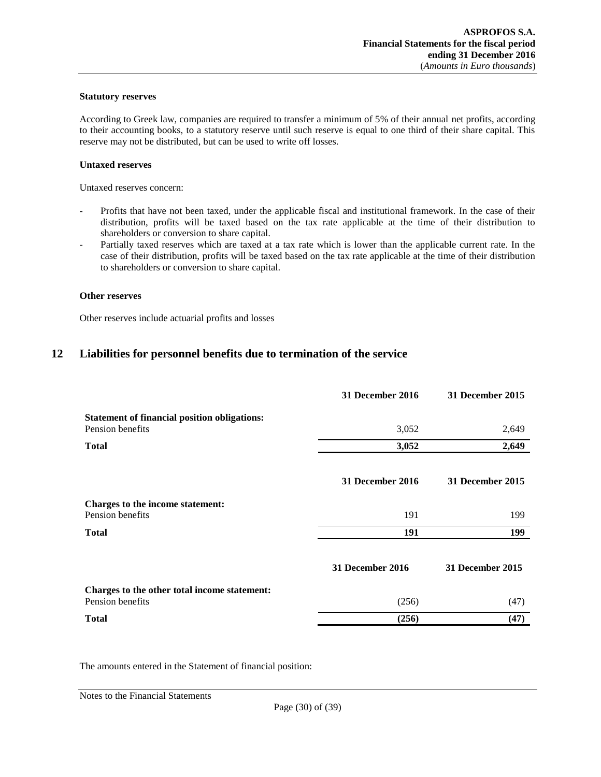## **Statutory reserves**

According to Greek law, companies are required to transfer a minimum of 5% of their annual net profits, according to their accounting books, to a statutory reserve until such reserve is equal to one third of their share capital. This reserve may not be distributed, but can be used to write off losses.

#### **Untaxed reserves**

Untaxed reserves concern:

- Profits that have not been taxed, under the applicable fiscal and institutional framework. In the case of their distribution, profits will be taxed based on the tax rate applicable at the time of their distribution to shareholders or conversion to share capital.
- Partially taxed reserves which are taxed at a tax rate which is lower than the applicable current rate. In the case of their distribution, profits will be taxed based on the tax rate applicable at the time of their distribution to shareholders or conversion to share capital.

#### **Other reserves**

<span id="page-29-0"></span>Other reserves include actuarial profits and losses

# **12 Liabilities for personnel benefits due to termination of the service**

|                                                      | 31 December 2016 | 31 December 2015 |
|------------------------------------------------------|------------------|------------------|
| <b>Statement of financial position obligations:</b>  |                  |                  |
| Pension benefits                                     | 3,052            | 2,649            |
| <b>Total</b>                                         | 3,052            | 2,649            |
|                                                      | 31 December 2016 | 31 December 2015 |
| Charges to the income statement:<br>Pension benefits | 191              | 199              |
| <b>Total</b>                                         | 191              | 199              |
|                                                      | 31 December 2016 | 31 December 2015 |
| Charges to the other total income statement:         |                  |                  |
| Pension benefits                                     | (256)            | (47)             |
| <b>Total</b>                                         | (256)            | (47)             |

The amounts entered in the Statement of financial position: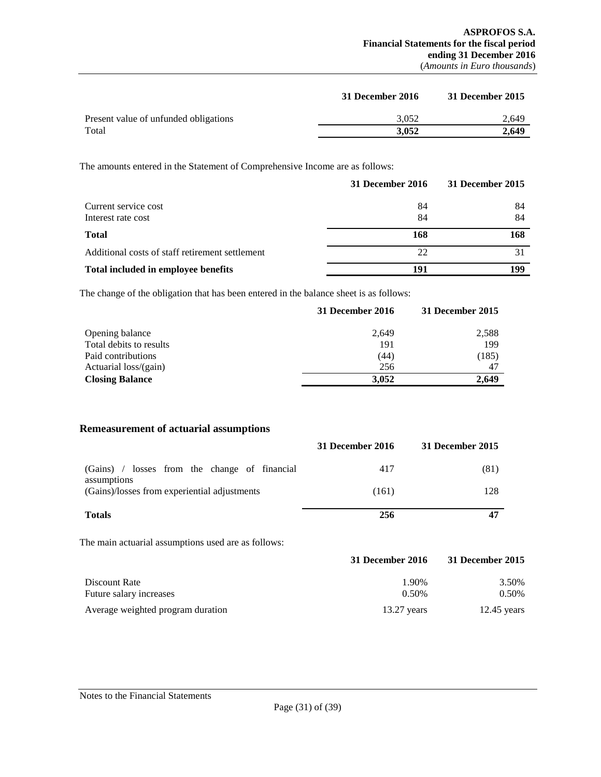|                                       | 31 December 2016 | 31 December 2015 |
|---------------------------------------|------------------|------------------|
| Present value of unfunded obligations | 3.052            | 2.649            |
| Total                                 | 3.052            | 2.649            |

The amounts entered in the Statement of Comprehensive Income are as follows:

|                                                 | 31 December 2016 | 31 December 2015 |
|-------------------------------------------------|------------------|------------------|
| Current service cost                            | 84               | 84               |
| Interest rate cost                              | 84               | 84               |
| <b>Total</b>                                    | 168              | 168              |
| Additional costs of staff retirement settlement | 22               |                  |
| Total included in employee benefits             | 191              | 199              |

The change of the obligation that has been entered in the balance sheet is as follows:

|                         | 31 December 2016 | 31 December 2015 |
|-------------------------|------------------|------------------|
| Opening balance         | 2.649            | 2,588            |
| Total debits to results | 191              | 199              |
| Paid contributions      | (44)             | (185)            |
| Actuarial loss/(gain)   | 256              | 47               |
| <b>Closing Balance</b>  | 3.052            | 2.649            |

## **Remeasurement of actuarial assumptions**

|                                                              | 31 December 2016 | 31 December 2015 |
|--------------------------------------------------------------|------------------|------------------|
| (Gains) / losses from the change of financial<br>assumptions | 417              | (81)             |
| (Gains)/losses from experiential adjustments                 | (161)            | 128              |
| <b>Totals</b>                                                | 256              |                  |

The main actuarial assumptions used are as follows:

|                                   | 31 December 2016 | 31 December 2015 |
|-----------------------------------|------------------|------------------|
| Discount Rate                     | 1.90%            | 3.50%            |
| Future salary increases           | $0.50\%$         | 0.50%            |
| Average weighted program duration | $13.27$ vears    | $12.45$ years    |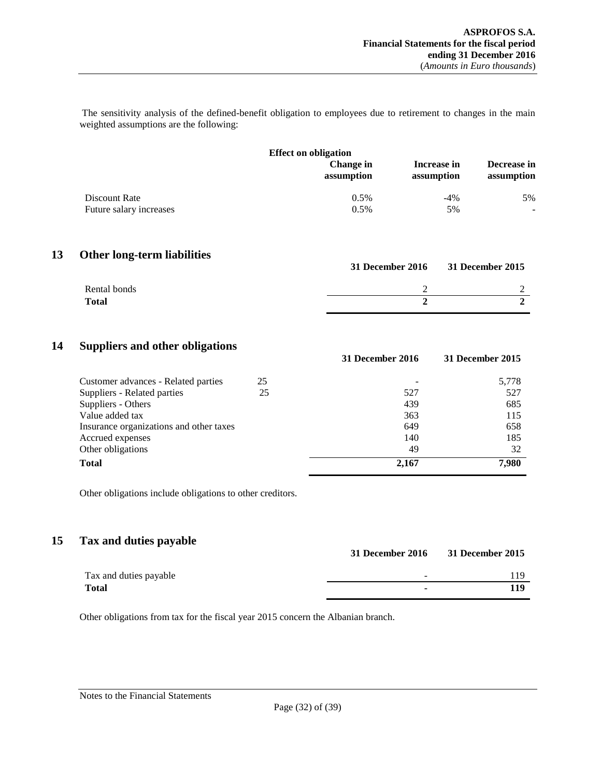The sensitivity analysis of the defined-benefit obligation to employees due to retirement to changes in the main weighted assumptions are the following:

| <b>Effect on obligation</b> |                                |                           |                           |  |  |
|-----------------------------|--------------------------------|---------------------------|---------------------------|--|--|
|                             | <b>Change</b> in<br>assumption | Increase in<br>assumption | Decrease in<br>assumption |  |  |
| Discount Rate               | 0.5%                           | $-4\%$                    | 5%                        |  |  |
| Future salary increases     | 0.5%                           | 5%                        |                           |  |  |

# **13 Other long-term liabilities**

<span id="page-31-0"></span>

| o            | <b>31 December 2016</b> | <b>31 December 2015</b> |
|--------------|-------------------------|-------------------------|
| Rental bonds |                         |                         |
| <b>Total</b> |                         |                         |

# **14 Suppliers and other obligations**

<span id="page-31-1"></span>

|                                         |    | 31 December 2016 | 31 December 2015 |
|-----------------------------------------|----|------------------|------------------|
| Customer advances - Related parties     | 25 |                  | 5,778            |
| Suppliers - Related parties             | 25 | 527              | 527              |
| Suppliers - Others                      |    | 439              | 685              |
| Value added tax                         |    | 363              | 115              |
| Insurance organizations and other taxes |    | 649              | 658              |
| Accrued expenses                        |    | 140              | 185              |
| Other obligations                       |    | 49               | 32               |
| <b>Total</b>                            |    | 2,167            | 7,980            |

Other obligations include obligations to other creditors.

# **15 Tax and duties payable**

<span id="page-31-2"></span>

|                        | <b>31 December 2016</b> | 31 December 2015 |
|------------------------|-------------------------|------------------|
| Tax and duties payable | $\sim$                  | l 19             |
| Total                  | ۰                       | 119              |

Other obligations from tax for the fiscal year 2015 concern the Albanian branch.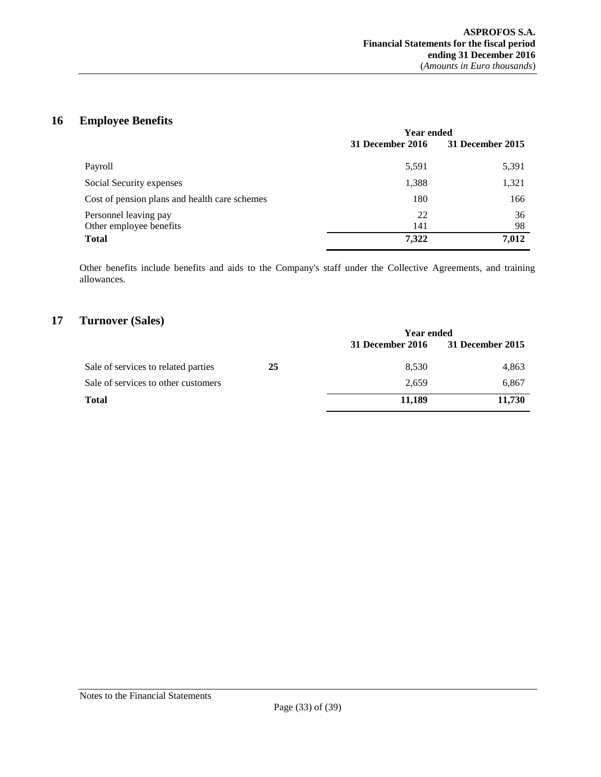# **16 Employee Benefits**

<span id="page-32-0"></span>

|                                                  | <b>Year ended</b> |                  |
|--------------------------------------------------|-------------------|------------------|
|                                                  | 31 December 2016  | 31 December 2015 |
| Payroll                                          | 5,591             | 5,391            |
| Social Security expenses                         | 1,388             | 1,321            |
| Cost of pension plans and health care schemes    | 180               | 166              |
| Personnel leaving pay<br>Other employee benefits | 22<br>141         | 36<br>98         |
| <b>Total</b>                                     | 7,322             | 7,012            |

Other benefits include benefits and aids to the Company's staff under the Collective Agreements, and training allowances.

# **17 Turnover (Sales)**

<span id="page-32-1"></span>

|                                     |    | <b>Year ended</b> |                  |
|-------------------------------------|----|-------------------|------------------|
|                                     |    | 31 December 2016  | 31 December 2015 |
| Sale of services to related parties | 25 | 8,530             | 4,863            |
| Sale of services to other customers |    | 2.659             | 6,867            |
| <b>Total</b>                        |    | 11,189            | 11,730           |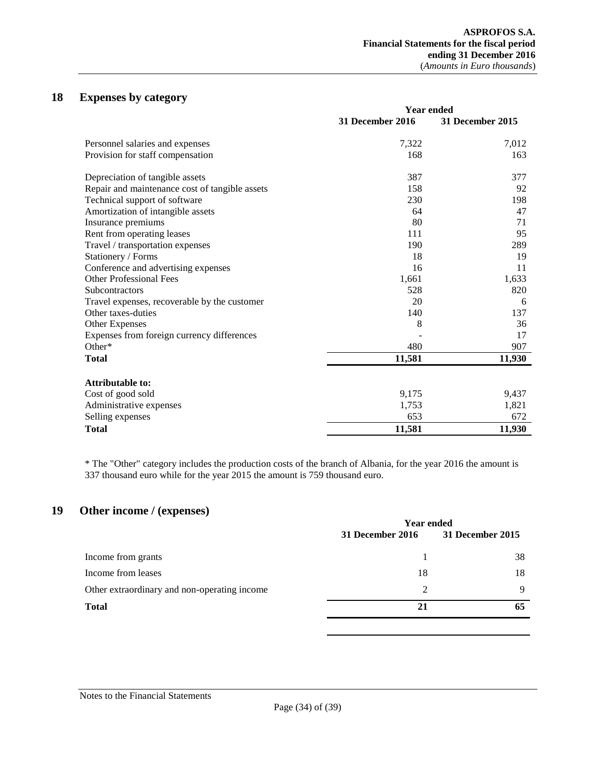# **18 Expenses by category**

<span id="page-33-0"></span>

|                                                | <b>Year ended</b> |                  |  |
|------------------------------------------------|-------------------|------------------|--|
|                                                | 31 December 2016  | 31 December 2015 |  |
| Personnel salaries and expenses                | 7,322             | 7,012            |  |
| Provision for staff compensation               | 168               | 163              |  |
| Depreciation of tangible assets                | 387               | 377              |  |
| Repair and maintenance cost of tangible assets | 158               | 92               |  |
| Technical support of software                  | 230               | 198              |  |
| Amortization of intangible assets              | 64                | 47               |  |
| Insurance premiums                             | 80                | 71               |  |
| Rent from operating leases                     | 111               | 95               |  |
| Travel / transportation expenses               | 190               | 289              |  |
| Stationery / Forms                             | 18                | 19               |  |
| Conference and advertising expenses            | 16                | 11               |  |
| <b>Other Professional Fees</b>                 | 1,661             | 1,633            |  |
| <b>Subcontractors</b>                          | 528               | 820              |  |
| Travel expenses, recoverable by the customer   | 20                | 6                |  |
| Other taxes-duties                             | 140               | 137              |  |
| Other Expenses                                 | 8                 | 36               |  |
| Expenses from foreign currency differences     |                   | 17               |  |
| Other*                                         | 480               | 907              |  |
| <b>Total</b>                                   | 11,581            | 11,930           |  |
| <b>Attributable to:</b>                        |                   |                  |  |
| Cost of good sold                              | 9,175             | 9,437            |  |
| Administrative expenses                        | 1,753             | 1,821            |  |
| Selling expenses                               | 653               | 672              |  |
| <b>Total</b>                                   | 11,581            | 11,930           |  |

\* The "Other" category includes the production costs of the branch of Albania, for the year 2016 the amount is 337 thousand euro while for the year 2015 the amount is 759 thousand euro.

# **19 Other income / (expenses)**

<span id="page-33-1"></span>

|                                              | <b>Year ended</b> |                  |
|----------------------------------------------|-------------------|------------------|
|                                              | 31 December 2016  | 31 December 2015 |
| Income from grants                           |                   | 38               |
| Income from leases                           | 18                | 18               |
| Other extraordinary and non-operating income | 2                 | q                |
| <b>Total</b>                                 | 21                | 65               |
|                                              |                   |                  |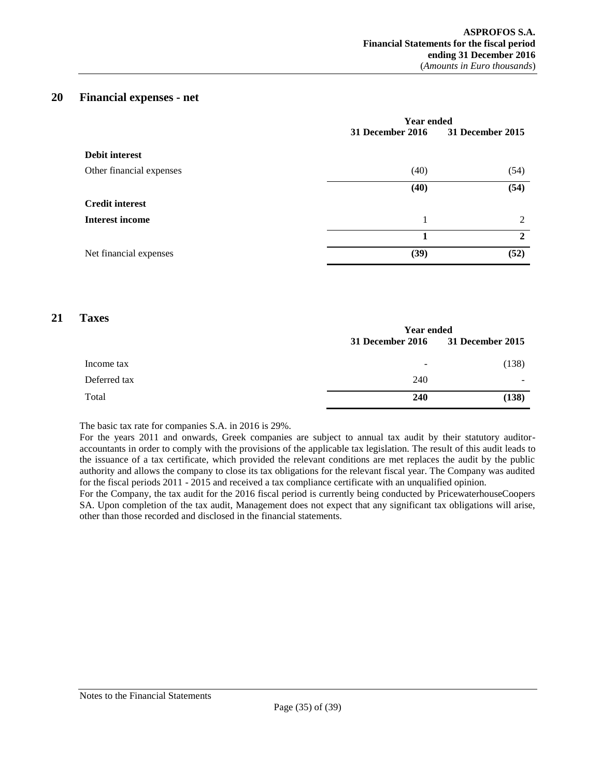# **20 Financial expenses - net**

<span id="page-34-0"></span>

|                          | <b>Year ended</b> |                  |
|--------------------------|-------------------|------------------|
|                          | 31 December 2016  | 31 December 2015 |
| <b>Debit interest</b>    |                   |                  |
| Other financial expenses | (40)              | (54)             |
|                          | (40)              | (54)             |
| <b>Credit interest</b>   |                   |                  |
| <b>Interest income</b>   | 1                 | $\mathfrak{D}$   |
|                          |                   | $\mathbf{2}$     |
| Net financial expenses   | (39)              | (52)             |

# **21 Taxes**

<span id="page-34-1"></span>

|              | <b>Year ended</b> |                          |
|--------------|-------------------|--------------------------|
|              | 31 December 2016  | <b>31 December 2015</b>  |
| Income tax   |                   | (138)                    |
| Deferred tax | 240               | $\overline{\phantom{0}}$ |
| Total        | 240               | (138)                    |

The basic tax rate for companies S.A. in 2016 is 29%.

For the years 2011 and onwards, Greek companies are subject to annual tax audit by their statutory auditoraccountants in order to comply with the provisions of the applicable tax legislation. The result of this audit leads to the issuance of a tax certificate, which provided the relevant conditions are met replaces the audit by the public authority and allows the company to close its tax obligations for the relevant fiscal year. The Company was audited for the fiscal periods 2011 - 2015 and received a tax compliance certificate with an unqualified opinion.

For the Company, the tax audit for the 2016 fiscal period is currently being conducted by PricewaterhouseCoopers SA. Upon completion of the tax audit, Management does not expect that any significant tax obligations will arise, other than those recorded and disclosed in the financial statements.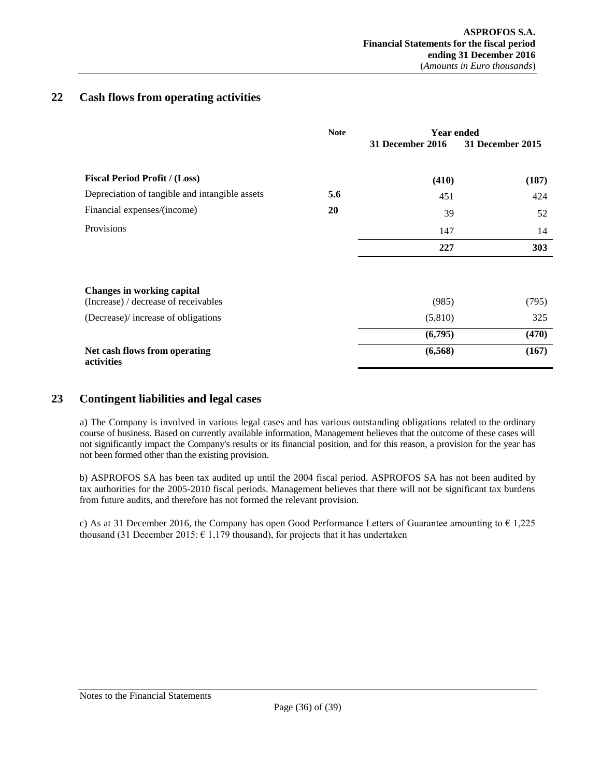# <span id="page-35-0"></span>**22 Cash flows from operating activities**

|                                                                           | <b>Note</b> | <b>Year ended</b>       |                  |
|---------------------------------------------------------------------------|-------------|-------------------------|------------------|
|                                                                           |             | <b>31 December 2016</b> | 31 December 2015 |
| <b>Fiscal Period Profit / (Loss)</b>                                      |             | (410)                   | (187)            |
| Depreciation of tangible and intangible assets                            | 5.6         | 451                     | 424              |
| Financial expenses/(income)                                               | 20          | 39                      | 52               |
| Provisions                                                                |             | 147                     | 14               |
|                                                                           |             | 227                     | 303              |
|                                                                           |             |                         |                  |
| <b>Changes in working capital</b><br>(Increase) / decrease of receivables |             | (985)                   | (795)            |
| (Decrease)/ increase of obligations                                       |             | (5,810)                 | 325              |
|                                                                           |             | (6,795)                 | (470)            |
| Net cash flows from operating<br>activities                               |             | (6,568)                 | (167)            |

# <span id="page-35-1"></span>**23 Contingent liabilities and legal cases**

a) The Company is involved in various legal cases and has various outstanding obligations related to the ordinary course of business. Based on currently available information, Management believes that the outcome of these cases will not significantly impact the Company's results or its financial position, and for this reason, a provision for the year has not been formed other than the existing provision.

b) ASPROFOS SA has been tax audited up until the 2004 fiscal period. ASPROFOS SA has not been audited by tax authorities for the 2005-2010 fiscal periods. Management believes that there will not be significant tax burdens from future audits, and therefore has not formed the relevant provision.

c) As at 31 December 2016, the Company has open Good Performance Letters of Guarantee amounting to  $\epsilon$  1,225 thousand (31 December 2015:  $\epsilon$  1,179 thousand), for projects that it has undertaken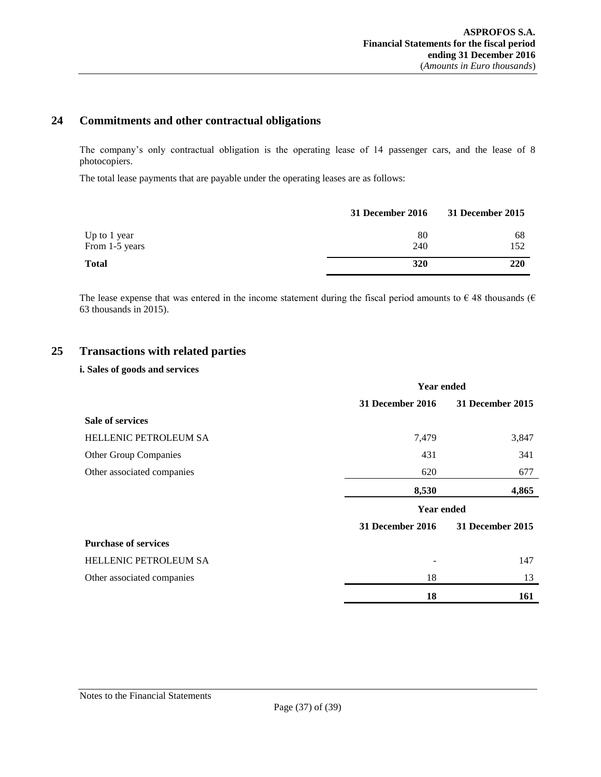# <span id="page-36-0"></span>**24 Commitments and other contractual obligations**

The company's only contractual obligation is the operating lease of 14 passenger cars, and the lease of 8 photocopiers.

The total lease payments that are payable under the operating leases are as follows:

|                | 31 December 2016 | 31 December 2015 |
|----------------|------------------|------------------|
| Up to 1 year   | 80               | 68               |
| From 1-5 years | 240              | 152              |
| <b>Total</b>   | 320              | 220              |

The lease expense that was entered in the income statement during the fiscal period amounts to  $\epsilon$  48 thousands ( $\epsilon$ 63 thousands in 2015).

# **25 Transactions with related parties**

## <span id="page-36-1"></span>**i. Sales of goods and services**

|                              | <b>Year ended</b>       |                  |
|------------------------------|-------------------------|------------------|
|                              | <b>31 December 2016</b> | 31 December 2015 |
| <b>Sale of services</b>      |                         |                  |
| <b>HELLENIC PETROLEUM SA</b> | 7,479                   | 3,847            |
| Other Group Companies        | 431                     | 341              |
| Other associated companies   | 620                     | 677              |
|                              | 8,530                   | 4,865            |
|                              | <b>Year ended</b>       |                  |
|                              | <b>31 December 2016</b> | 31 December 2015 |
| <b>Purchase of services</b>  |                         |                  |
| <b>HELLENIC PETROLEUM SA</b> |                         | 147              |
| Other associated companies   | 18                      | 13               |
|                              | 18                      | 161              |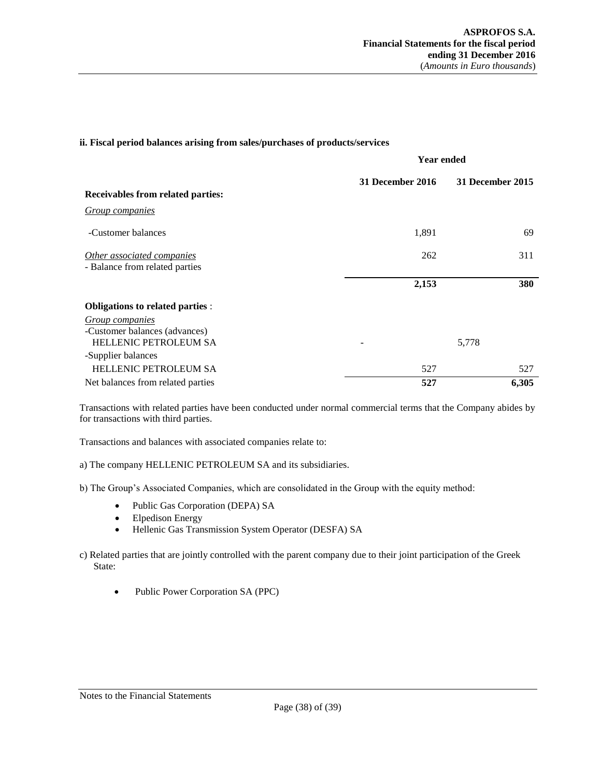## **ii. Fiscal period balances arising from sales/purchases of products/services**

|                                                              |                          | <b>Year ended</b> |  |
|--------------------------------------------------------------|--------------------------|-------------------|--|
| Receivables from related parties:                            | 31 December 2016         | 31 December 2015  |  |
|                                                              |                          |                   |  |
| <b>Group companies</b>                                       |                          |                   |  |
| -Customer balances                                           | 1,891                    | 69                |  |
| Other associated companies<br>- Balance from related parties | 262                      | 311               |  |
|                                                              | 2,153                    | 380               |  |
| <b>Obligations to related parties :</b>                      |                          |                   |  |
| <b>Group companies</b><br>-Customer balances (advances)      |                          |                   |  |
| HELLENIC PETROLEUM SA                                        | $\overline{\phantom{a}}$ | 5,778             |  |
| -Supplier balances                                           |                          |                   |  |
| HELLENIC PETROLEUM SA                                        | 527                      | 527               |  |
| Net balances from related parties                            | 527                      | 6,305             |  |

Transactions with related parties have been conducted under normal commercial terms that the Company abides by for transactions with third parties.

Transactions and balances with associated companies relate to:

a) The company HELLENIC PETROLEUM SA and its subsidiaries.

b) The Group's Associated Companies, which are consolidated in the Group with the equity method:

- Public Gas Corporation (DEPA) SA
- Elpedison Energy
- Hellenic Gas Transmission System Operator (DESFA) SA
- c) Related parties that are jointly controlled with the parent company due to their joint participation of the Greek State:
	- Public Power Corporation SA (PPC)